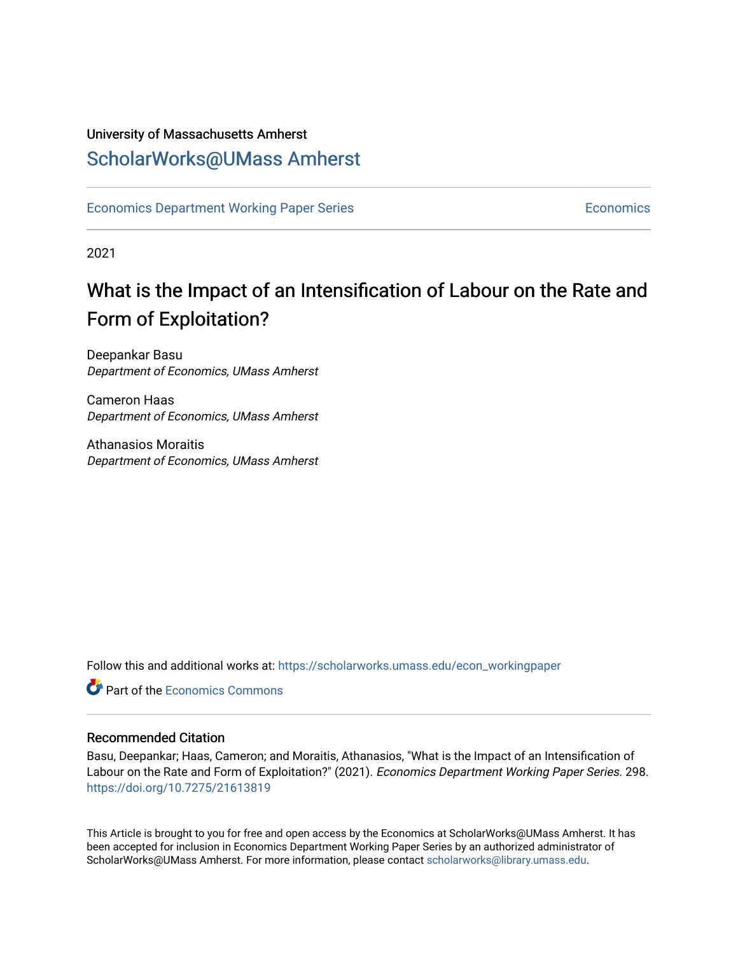# University of Massachusetts Amherst [ScholarWorks@UMass Amherst](https://scholarworks.umass.edu/)

[Economics Department Working Paper Series](https://scholarworks.umass.edu/econ_workingpaper) **Economics** [Economics](https://scholarworks.umass.edu/economics) Economics

2021

# What is the Impact of an Intensification of Labour on the Rate and Form of Exploitation?

Deepankar Basu Department of Economics, UMass Amherst

Cameron Haas Department of Economics, UMass Amherst

Athanasios Moraitis Department of Economics, UMass Amherst

Follow this and additional works at: [https://scholarworks.umass.edu/econ\\_workingpaper](https://scholarworks.umass.edu/econ_workingpaper?utm_source=scholarworks.umass.edu%2Fecon_workingpaper%2F298&utm_medium=PDF&utm_campaign=PDFCoverPages) 

**Part of the [Economics Commons](http://network.bepress.com/hgg/discipline/340?utm_source=scholarworks.umass.edu%2Fecon_workingpaper%2F298&utm_medium=PDF&utm_campaign=PDFCoverPages)** 

## Recommended Citation

Basu, Deepankar; Haas, Cameron; and Moraitis, Athanasios, "What is the Impact of an Intensification of Labour on the Rate and Form of Exploitation?" (2021). Economics Department Working Paper Series. 298. <https://doi.org/10.7275/21613819>

This Article is brought to you for free and open access by the Economics at ScholarWorks@UMass Amherst. It has been accepted for inclusion in Economics Department Working Paper Series by an authorized administrator of ScholarWorks@UMass Amherst. For more information, please contact [scholarworks@library.umass.edu.](mailto:scholarworks@library.umass.edu)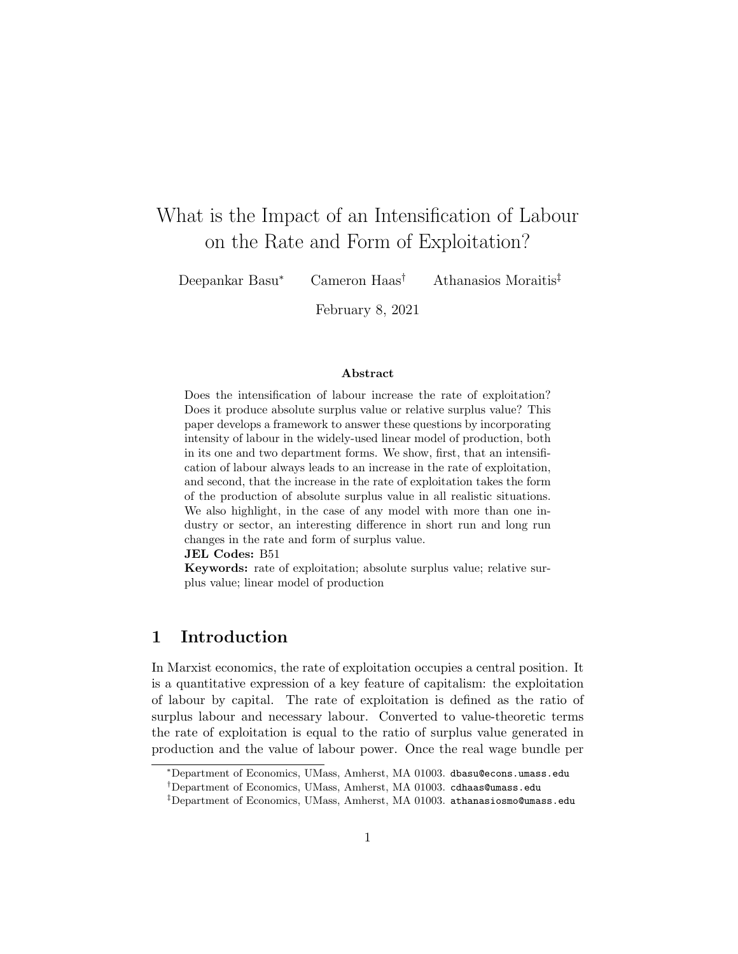# What is the Impact of an Intensification of Labour on the Rate and Form of Exploitation?

Deepankar Basu<sup>∗</sup> Cameron Haas† Athanasios Moraitis‡

February 8, 2021

#### Abstract

Does the intensification of labour increase the rate of exploitation? Does it produce absolute surplus value or relative surplus value? This paper develops a framework to answer these questions by incorporating intensity of labour in the widely-used linear model of production, both in its one and two department forms. We show, first, that an intensification of labour always leads to an increase in the rate of exploitation, and second, that the increase in the rate of exploitation takes the form of the production of absolute surplus value in all realistic situations. We also highlight, in the case of any model with more than one industry or sector, an interesting difference in short run and long run changes in the rate and form of surplus value.

JEL Codes: B51

Keywords: rate of exploitation; absolute surplus value; relative surplus value; linear model of production

# 1 Introduction

In Marxist economics, the rate of exploitation occupies a central position. It is a quantitative expression of a key feature of capitalism: the exploitation of labour by capital. The rate of exploitation is defined as the ratio of surplus labour and necessary labour. Converted to value-theoretic terms the rate of exploitation is equal to the ratio of surplus value generated in production and the value of labour power. Once the real wage bundle per

<sup>∗</sup>Department of Economics, UMass, Amherst, MA 01003. dbasu@econs.umass.edu

<sup>†</sup>Department of Economics, UMass, Amherst, MA 01003. cdhaas@umass.edu

<sup>‡</sup>Department of Economics, UMass, Amherst, MA 01003. athanasiosmo@umass.edu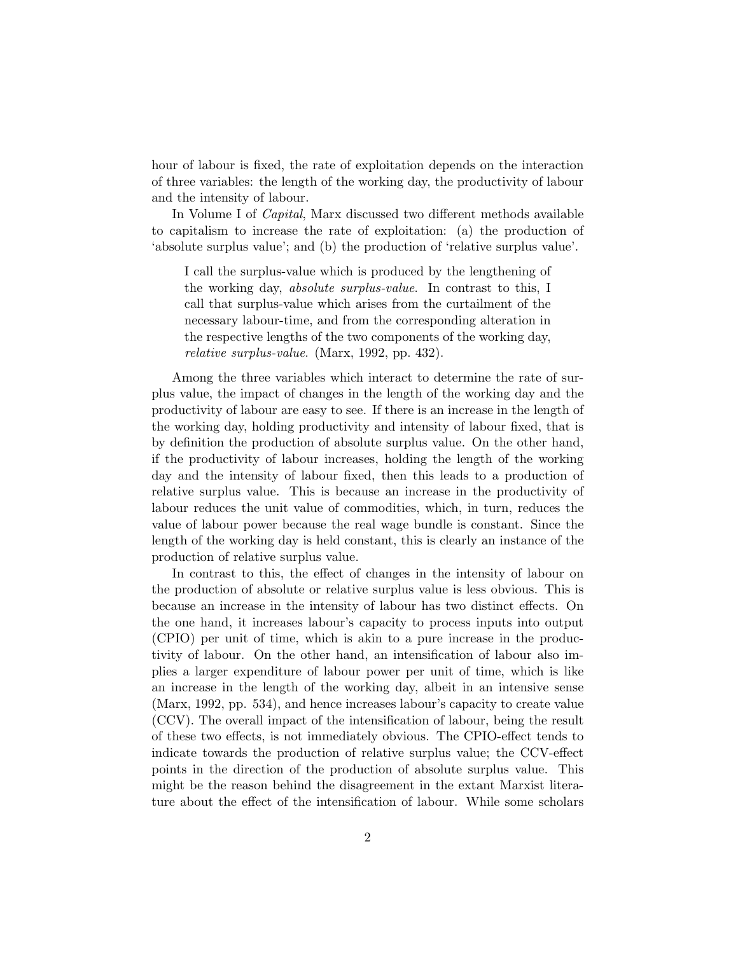hour of labour is fixed, the rate of exploitation depends on the interaction of three variables: the length of the working day, the productivity of labour and the intensity of labour.

In Volume I of Capital, Marx discussed two different methods available to capitalism to increase the rate of exploitation: (a) the production of 'absolute surplus value'; and (b) the production of 'relative surplus value'.

I call the surplus-value which is produced by the lengthening of the working day, absolute surplus-value. In contrast to this, I call that surplus-value which arises from the curtailment of the necessary labour-time, and from the corresponding alteration in the respective lengths of the two components of the working day, relative surplus-value. (Marx, 1992, pp. 432).

Among the three variables which interact to determine the rate of surplus value, the impact of changes in the length of the working day and the productivity of labour are easy to see. If there is an increase in the length of the working day, holding productivity and intensity of labour fixed, that is by definition the production of absolute surplus value. On the other hand, if the productivity of labour increases, holding the length of the working day and the intensity of labour fixed, then this leads to a production of relative surplus value. This is because an increase in the productivity of labour reduces the unit value of commodities, which, in turn, reduces the value of labour power because the real wage bundle is constant. Since the length of the working day is held constant, this is clearly an instance of the production of relative surplus value.

In contrast to this, the effect of changes in the intensity of labour on the production of absolute or relative surplus value is less obvious. This is because an increase in the intensity of labour has two distinct effects. On the one hand, it increases labour's capacity to process inputs into output (CPIO) per unit of time, which is akin to a pure increase in the productivity of labour. On the other hand, an intensification of labour also implies a larger expenditure of labour power per unit of time, which is like an increase in the length of the working day, albeit in an intensive sense (Marx, 1992, pp. 534), and hence increases labour's capacity to create value (CCV). The overall impact of the intensification of labour, being the result of these two effects, is not immediately obvious. The CPIO-effect tends to indicate towards the production of relative surplus value; the CCV-effect points in the direction of the production of absolute surplus value. This might be the reason behind the disagreement in the extant Marxist literature about the effect of the intensification of labour. While some scholars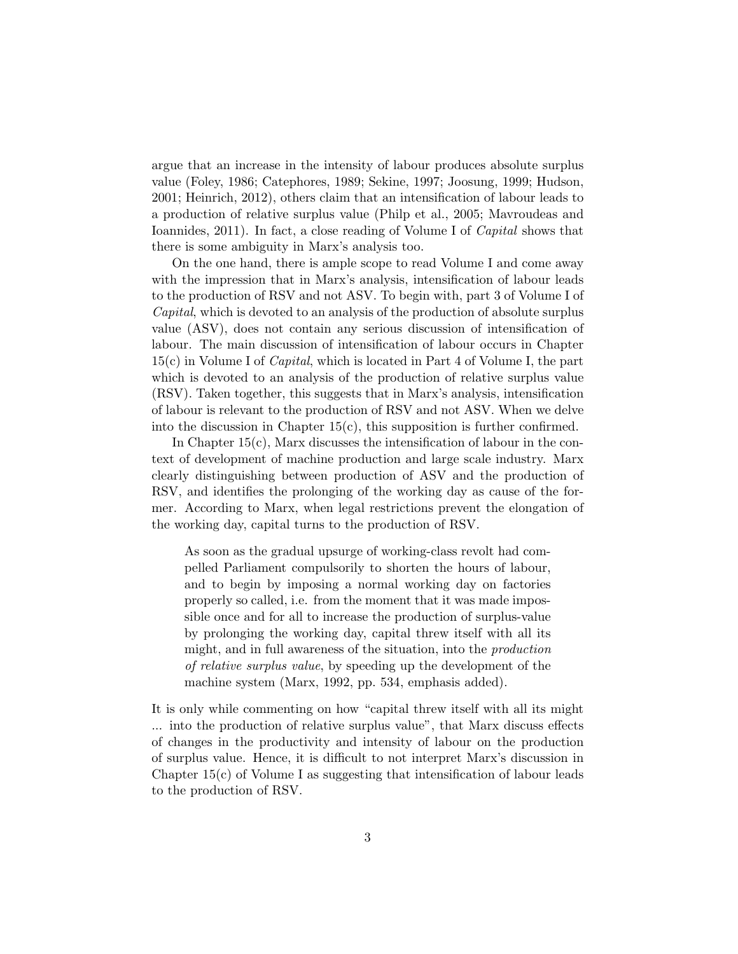argue that an increase in the intensity of labour produces absolute surplus value (Foley, 1986; Catephores, 1989; Sekine, 1997; Joosung, 1999; Hudson, 2001; Heinrich, 2012), others claim that an intensification of labour leads to a production of relative surplus value (Philp et al., 2005; Mavroudeas and Ioannides, 2011). In fact, a close reading of Volume I of Capital shows that there is some ambiguity in Marx's analysis too.

On the one hand, there is ample scope to read Volume I and come away with the impression that in Marx's analysis, intensification of labour leads to the production of RSV and not ASV. To begin with, part 3 of Volume I of Capital, which is devoted to an analysis of the production of absolute surplus value (ASV), does not contain any serious discussion of intensification of labour. The main discussion of intensification of labour occurs in Chapter  $15(c)$  in Volume I of *Capital*, which is located in Part 4 of Volume I, the part which is devoted to an analysis of the production of relative surplus value (RSV). Taken together, this suggests that in Marx's analysis, intensification of labour is relevant to the production of RSV and not ASV. When we delve into the discussion in Chapter  $15(c)$ , this supposition is further confirmed.

In Chapter  $15(c)$ , Marx discusses the intensification of labour in the context of development of machine production and large scale industry. Marx clearly distinguishing between production of ASV and the production of RSV, and identifies the prolonging of the working day as cause of the former. According to Marx, when legal restrictions prevent the elongation of the working day, capital turns to the production of RSV.

As soon as the gradual upsurge of working-class revolt had compelled Parliament compulsorily to shorten the hours of labour, and to begin by imposing a normal working day on factories properly so called, i.e. from the moment that it was made impossible once and for all to increase the production of surplus-value by prolonging the working day, capital threw itself with all its might, and in full awareness of the situation, into the production of relative surplus value, by speeding up the development of the machine system (Marx, 1992, pp. 534, emphasis added).

It is only while commenting on how "capital threw itself with all its might ... into the production of relative surplus value", that Marx discuss effects of changes in the productivity and intensity of labour on the production of surplus value. Hence, it is difficult to not interpret Marx's discussion in Chapter  $15(c)$  of Volume I as suggesting that intensification of labour leads to the production of RSV.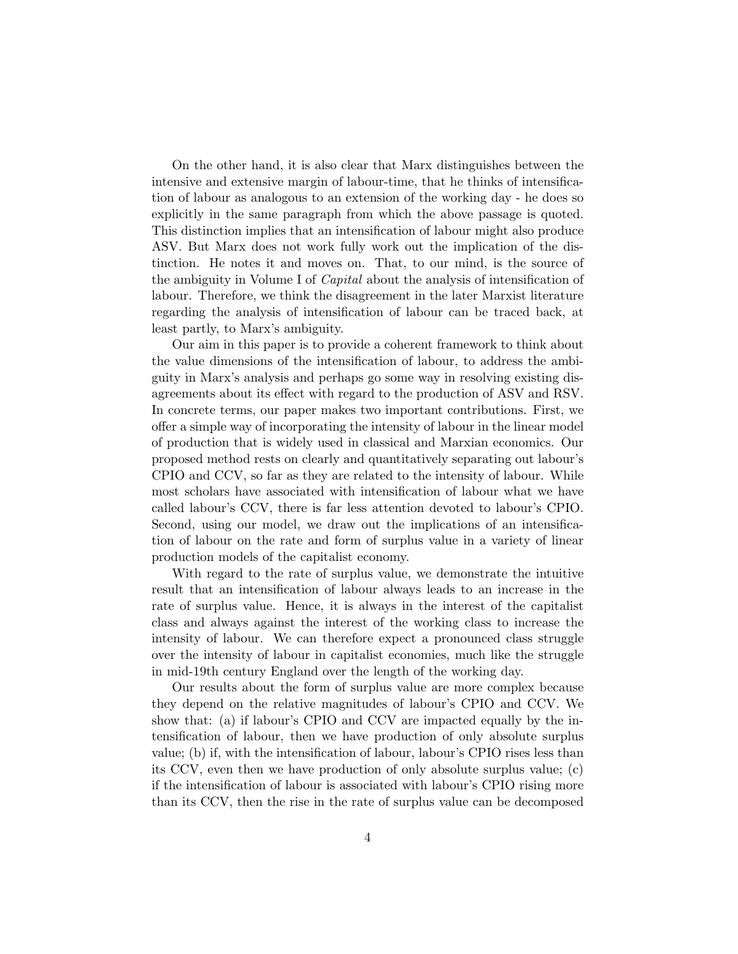On the other hand, it is also clear that Marx distinguishes between the intensive and extensive margin of labour-time, that he thinks of intensification of labour as analogous to an extension of the working day - he does so explicitly in the same paragraph from which the above passage is quoted. This distinction implies that an intensification of labour might also produce ASV. But Marx does not work fully work out the implication of the distinction. He notes it and moves on. That, to our mind, is the source of the ambiguity in Volume I of *Capital* about the analysis of intensification of labour. Therefore, we think the disagreement in the later Marxist literature regarding the analysis of intensification of labour can be traced back, at least partly, to Marx's ambiguity.

Our aim in this paper is to provide a coherent framework to think about the value dimensions of the intensification of labour, to address the ambiguity in Marx's analysis and perhaps go some way in resolving existing disagreements about its effect with regard to the production of ASV and RSV. In concrete terms, our paper makes two important contributions. First, we offer a simple way of incorporating the intensity of labour in the linear model of production that is widely used in classical and Marxian economics. Our proposed method rests on clearly and quantitatively separating out labour's CPIO and CCV, so far as they are related to the intensity of labour. While most scholars have associated with intensification of labour what we have called labour's CCV, there is far less attention devoted to labour's CPIO. Second, using our model, we draw out the implications of an intensification of labour on the rate and form of surplus value in a variety of linear production models of the capitalist economy.

With regard to the rate of surplus value, we demonstrate the intuitive result that an intensification of labour always leads to an increase in the rate of surplus value. Hence, it is always in the interest of the capitalist class and always against the interest of the working class to increase the intensity of labour. We can therefore expect a pronounced class struggle over the intensity of labour in capitalist economies, much like the struggle in mid-19th century England over the length of the working day.

Our results about the form of surplus value are more complex because they depend on the relative magnitudes of labour's CPIO and CCV. We show that: (a) if labour's CPIO and CCV are impacted equally by the intensification of labour, then we have production of only absolute surplus value; (b) if, with the intensification of labour, labour's CPIO rises less than its CCV, even then we have production of only absolute surplus value; (c) if the intensification of labour is associated with labour's CPIO rising more than its CCV, then the rise in the rate of surplus value can be decomposed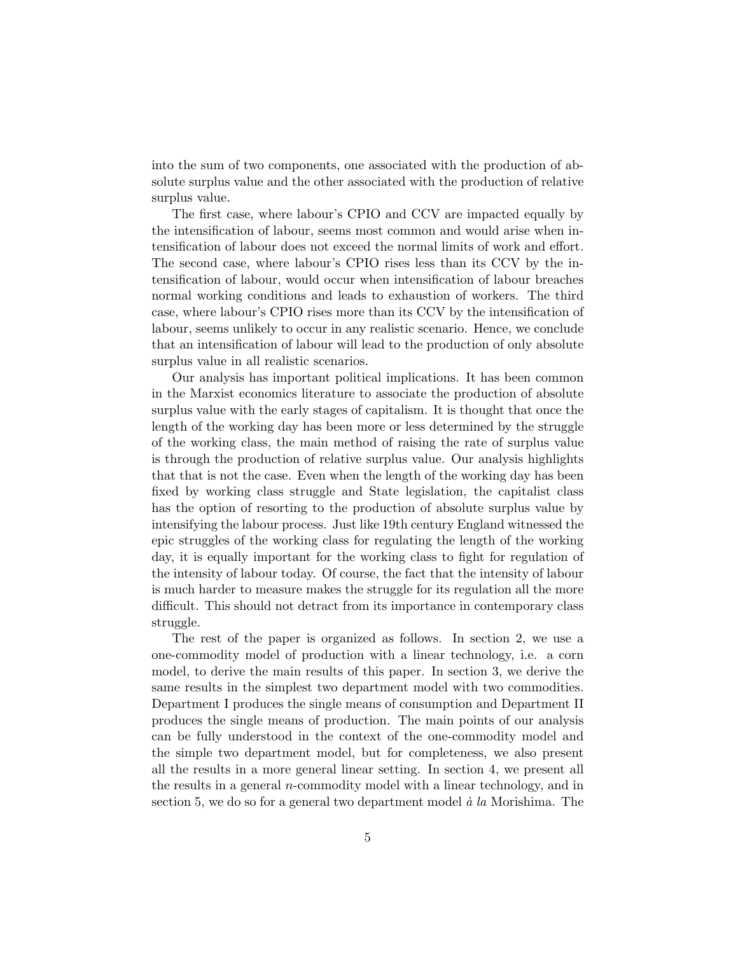into the sum of two components, one associated with the production of absolute surplus value and the other associated with the production of relative surplus value.

The first case, where labour's CPIO and CCV are impacted equally by the intensification of labour, seems most common and would arise when intensification of labour does not exceed the normal limits of work and effort. The second case, where labour's CPIO rises less than its CCV by the intensification of labour, would occur when intensification of labour breaches normal working conditions and leads to exhaustion of workers. The third case, where labour's CPIO rises more than its CCV by the intensification of labour, seems unlikely to occur in any realistic scenario. Hence, we conclude that an intensification of labour will lead to the production of only absolute surplus value in all realistic scenarios.

Our analysis has important political implications. It has been common in the Marxist economics literature to associate the production of absolute surplus value with the early stages of capitalism. It is thought that once the length of the working day has been more or less determined by the struggle of the working class, the main method of raising the rate of surplus value is through the production of relative surplus value. Our analysis highlights that that is not the case. Even when the length of the working day has been fixed by working class struggle and State legislation, the capitalist class has the option of resorting to the production of absolute surplus value by intensifying the labour process. Just like 19th century England witnessed the epic struggles of the working class for regulating the length of the working day, it is equally important for the working class to fight for regulation of the intensity of labour today. Of course, the fact that the intensity of labour is much harder to measure makes the struggle for its regulation all the more difficult. This should not detract from its importance in contemporary class struggle.

The rest of the paper is organized as follows. In section 2, we use a one-commodity model of production with a linear technology, i.e. a corn model, to derive the main results of this paper. In section 3, we derive the same results in the simplest two department model with two commodities. Department I produces the single means of consumption and Department II produces the single means of production. The main points of our analysis can be fully understood in the context of the one-commodity model and the simple two department model, but for completeness, we also present all the results in a more general linear setting. In section 4, we present all the results in a general n-commodity model with a linear technology, and in section 5, we do so for a general two department model  $\dot{a}$  la Morishima. The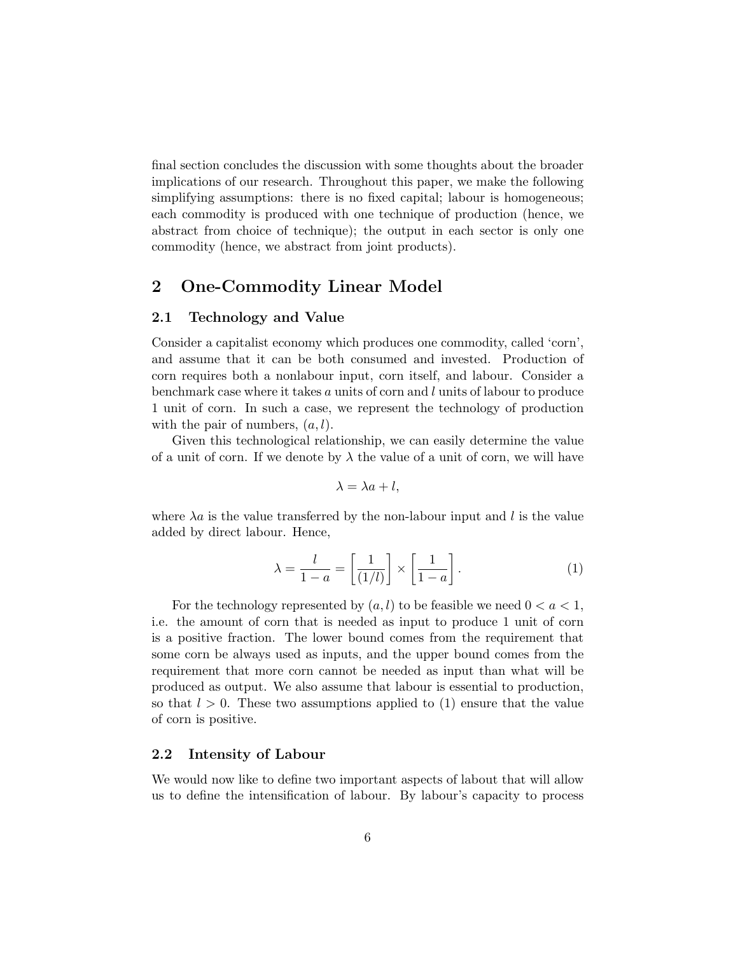final section concludes the discussion with some thoughts about the broader implications of our research. Throughout this paper, we make the following simplifying assumptions: there is no fixed capital; labour is homogeneous; each commodity is produced with one technique of production (hence, we abstract from choice of technique); the output in each sector is only one commodity (hence, we abstract from joint products).

# 2 One-Commodity Linear Model

#### 2.1 Technology and Value

Consider a capitalist economy which produces one commodity, called 'corn', and assume that it can be both consumed and invested. Production of corn requires both a nonlabour input, corn itself, and labour. Consider a benchmark case where it takes  $a$  units of corn and  $l$  units of labour to produce 1 unit of corn. In such a case, we represent the technology of production with the pair of numbers,  $(a, l)$ .

Given this technological relationship, we can easily determine the value of a unit of corn. If we denote by  $\lambda$  the value of a unit of corn, we will have

$$
\lambda = \lambda a + l,
$$

where  $\lambda a$  is the value transferred by the non-labour input and l is the value added by direct labour. Hence,

$$
\lambda = \frac{l}{1 - a} = \left[\frac{1}{(1/l)}\right] \times \left[\frac{1}{1 - a}\right].\tag{1}
$$

For the technology represented by  $(a, l)$  to be feasible we need  $0 < a < 1$ , i.e. the amount of corn that is needed as input to produce 1 unit of corn is a positive fraction. The lower bound comes from the requirement that some corn be always used as inputs, and the upper bound comes from the requirement that more corn cannot be needed as input than what will be produced as output. We also assume that labour is essential to production, so that  $l > 0$ . These two assumptions applied to (1) ensure that the value of corn is positive.

## 2.2 Intensity of Labour

We would now like to define two important aspects of labout that will allow us to define the intensification of labour. By labour's capacity to process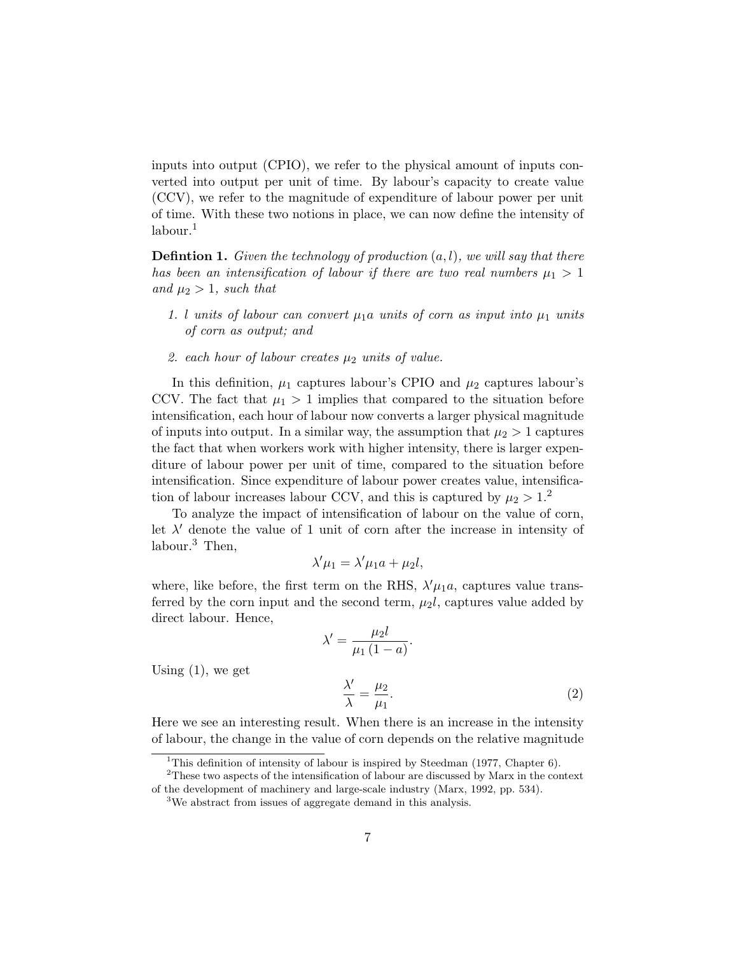inputs into output (CPIO), we refer to the physical amount of inputs converted into output per unit of time. By labour's capacity to create value (CCV), we refer to the magnitude of expenditure of labour power per unit of time. With these two notions in place, we can now define the intensity of labour.<sup>1</sup>

**Defintion 1.** Given the technology of production  $(a, l)$ , we will say that there has been an intensification of labour if there are two real numbers  $\mu_1 > 1$ and  $\mu_2 > 1$ , such that

- 1. l units of labour can convert  $\mu_1a$  units of corn as input into  $\mu_1$  units of corn as output; and
- 2. each hour of labour creates  $\mu_2$  units of value.

In this definition,  $\mu_1$  captures labour's CPIO and  $\mu_2$  captures labour's CCV. The fact that  $\mu_1 > 1$  implies that compared to the situation before intensification, each hour of labour now converts a larger physical magnitude of inputs into output. In a similar way, the assumption that  $\mu_2 > 1$  captures the fact that when workers work with higher intensity, there is larger expenditure of labour power per unit of time, compared to the situation before intensification. Since expenditure of labour power creates value, intensification of labour increases labour CCV, and this is captured by  $\mu_2 > 1.2$ 

To analyze the impact of intensification of labour on the value of corn, let  $\lambda'$  denote the value of 1 unit of corn after the increase in intensity of labour.<sup>3</sup> Then,

$$
\lambda' \mu_1 = \lambda' \mu_1 a + \mu_2 l,
$$

where, like before, the first term on the RHS,  $\lambda'\mu_1a$ , captures value transferred by the corn input and the second term,  $\mu_2 l$ , captures value added by direct labour. Hence,

 $\lambda' = \frac{\mu_2 l}{\mu_2}$  $\frac{\mu_2}{\mu_1(1-a)}$ .  $\lambda'$  $\frac{\lambda'}{\lambda} = \frac{\mu_2}{\mu_1}$  $\mu_1$ .  $(2)$ 

Here we see an interesting result. When there is an increase in the intensity of labour, the change in the value of corn depends on the relative magnitude

Using  $(1)$ , we get

<sup>&</sup>lt;sup>1</sup>This definition of intensity of labour is inspired by Steedman (1977, Chapter 6).

<sup>2</sup>These two aspects of the intensification of labour are discussed by Marx in the context of the development of machinery and large-scale industry (Marx, 1992, pp. 534).

<sup>&</sup>lt;sup>3</sup>We abstract from issues of aggregate demand in this analysis.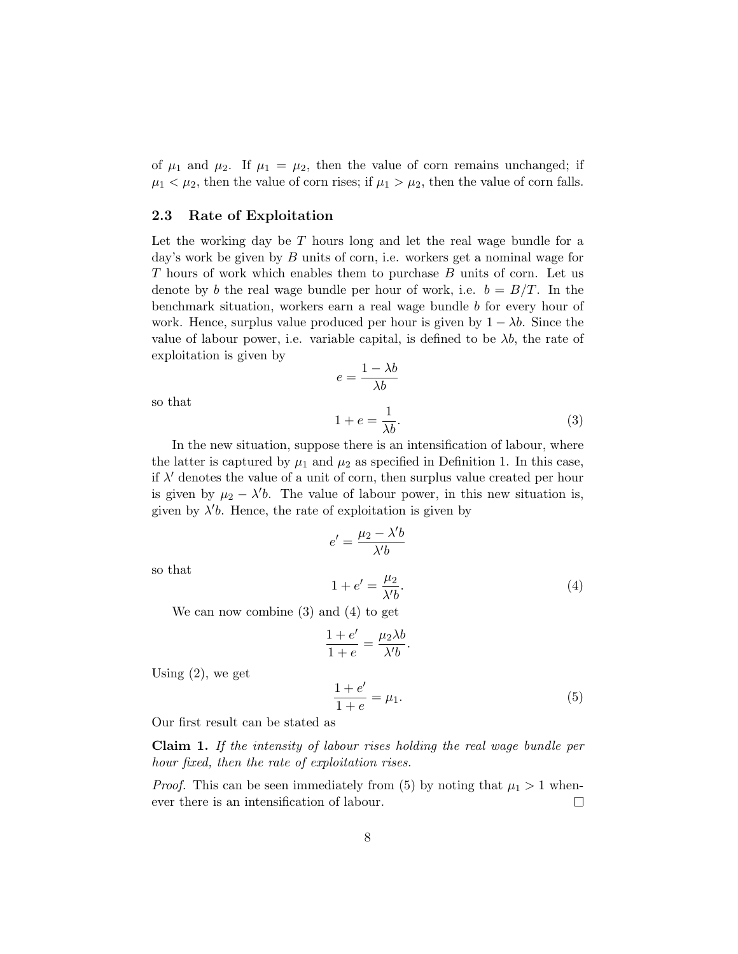of  $\mu_1$  and  $\mu_2$ . If  $\mu_1 = \mu_2$ , then the value of corn remains unchanged; if  $\mu_1 < \mu_2$ , then the value of corn rises; if  $\mu_1 > \mu_2$ , then the value of corn falls.

### 2.3 Rate of Exploitation

Let the working day be  $T$  hours long and let the real wage bundle for a day's work be given by  $B$  units of corn, i.e. workers get a nominal wage for T hours of work which enables them to purchase B units of corn. Let us denote by b the real wage bundle per hour of work, i.e.  $b = B/T$ . In the benchmark situation, workers earn a real wage bundle b for every hour of work. Hence, surplus value produced per hour is given by  $1 - \lambda b$ . Since the value of labour power, i.e. variable capital, is defined to be  $\lambda b$ , the rate of exploitation is given by

> $e = \frac{1 - \lambda b}{\lambda l}$  $\lambda b$

so that

so that

$$
1 + e = \frac{1}{\lambda b}.\tag{3}
$$

In the new situation, suppose there is an intensification of labour, where the latter is captured by  $\mu_1$  and  $\mu_2$  as specified in Definition 1. In this case, if  $\lambda'$  denotes the value of a unit of corn, then surplus value created per hour is given by  $\mu_2 - \lambda' b$ . The value of labour power, in this new situation is, given by  $\lambda' b$ . Hence, the rate of exploitation is given by

$$
e' = \frac{\mu_2 - \lambda' b}{\lambda' b}
$$
  

$$
1 + e' = \frac{\mu_2}{\lambda' b}.
$$
 (4)

We can now combine (3) and (4) to get

$$
\frac{1+e'}{1+e} = \frac{\mu_2 \lambda b}{\lambda'b}.
$$

Using  $(2)$ , we get

$$
\frac{1+e'}{1+e} = \mu_1.
$$
 (5)

Our first result can be stated as

Claim 1. If the intensity of labour rises holding the real wage bundle per hour fixed, then the rate of exploitation rises.

*Proof.* This can be seen immediately from (5) by noting that  $\mu_1 > 1$  whenever there is an intensification of labour.  $\Box$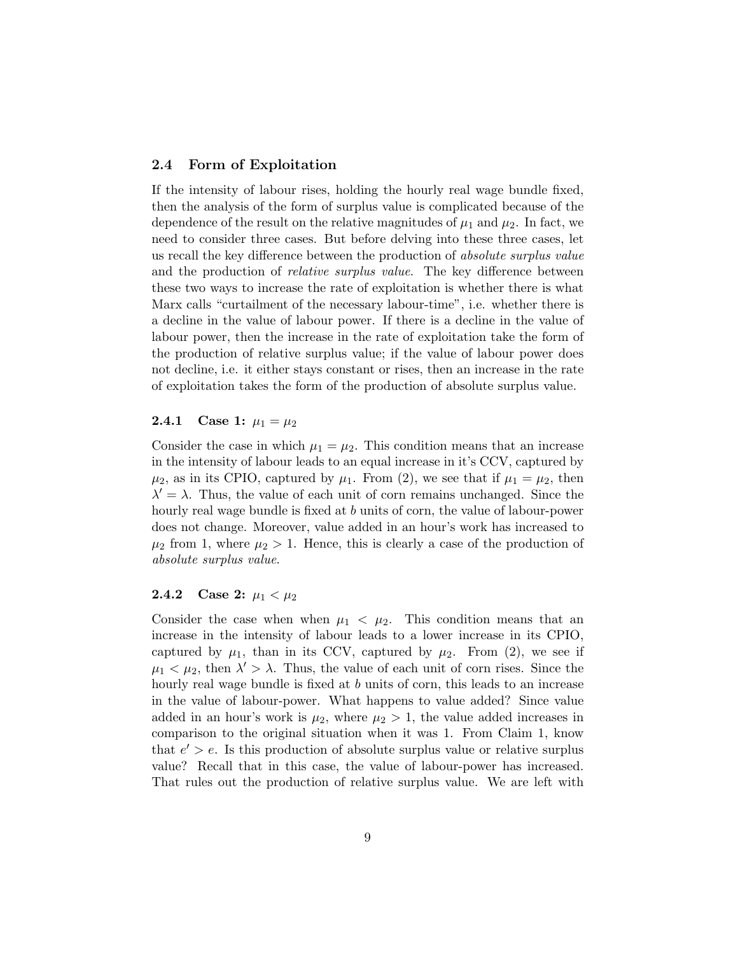## 2.4 Form of Exploitation

If the intensity of labour rises, holding the hourly real wage bundle fixed, then the analysis of the form of surplus value is complicated because of the dependence of the result on the relative magnitudes of  $\mu_1$  and  $\mu_2$ . In fact, we need to consider three cases. But before delving into these three cases, let us recall the key difference between the production of *absolute surplus value* and the production of *relative surplus value*. The key difference between these two ways to increase the rate of exploitation is whether there is what Marx calls "curtailment of the necessary labour-time", i.e. whether there is a decline in the value of labour power. If there is a decline in the value of labour power, then the increase in the rate of exploitation take the form of the production of relative surplus value; if the value of labour power does not decline, i.e. it either stays constant or rises, then an increase in the rate of exploitation takes the form of the production of absolute surplus value.

#### **2.4.1** Case 1:  $\mu_1 = \mu_2$

Consider the case in which  $\mu_1 = \mu_2$ . This condition means that an increase in the intensity of labour leads to an equal increase in it's CCV, captured by  $\mu_2$ , as in its CPIO, captured by  $\mu_1$ . From (2), we see that if  $\mu_1 = \mu_2$ , then  $\lambda' = \lambda$ . Thus, the value of each unit of corn remains unchanged. Since the hourly real wage bundle is fixed at b units of corn, the value of labour-power does not change. Moreover, value added in an hour's work has increased to  $\mu_2$  from 1, where  $\mu_2 > 1$ . Hence, this is clearly a case of the production of absolute surplus value.

## **2.4.2** Case 2:  $\mu_1 < \mu_2$

Consider the case when when  $\mu_1 < \mu_2$ . This condition means that an increase in the intensity of labour leads to a lower increase in its CPIO, captured by  $\mu_1$ , than in its CCV, captured by  $\mu_2$ . From (2), we see if  $\mu_1 < \mu_2$ , then  $\lambda' > \lambda$ . Thus, the value of each unit of corn rises. Since the hourly real wage bundle is fixed at b units of corn, this leads to an increase in the value of labour-power. What happens to value added? Since value added in an hour's work is  $\mu_2$ , where  $\mu_2 > 1$ , the value added increases in comparison to the original situation when it was 1. From Claim 1, know that  $e' > e$ . Is this production of absolute surplus value or relative surplus value? Recall that in this case, the value of labour-power has increased. That rules out the production of relative surplus value. We are left with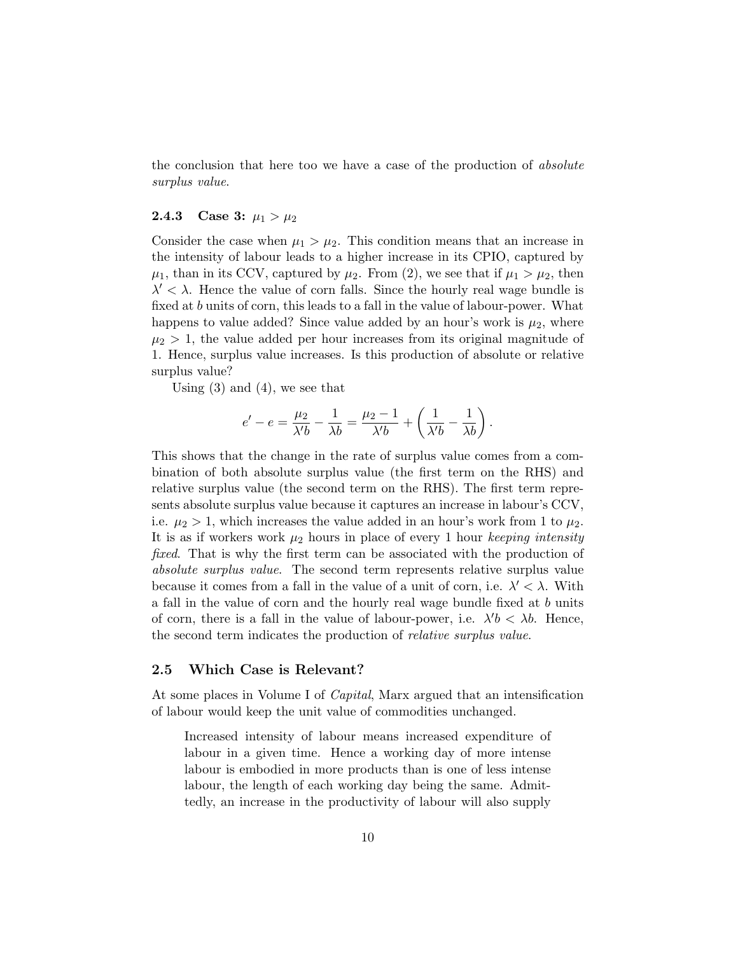the conclusion that here too we have a case of the production of *absolute* surplus value.

#### **2.4.3** Case 3:  $\mu_1 > \mu_2$

Consider the case when  $\mu_1 > \mu_2$ . This condition means that an increase in the intensity of labour leads to a higher increase in its CPIO, captured by  $\mu_1$ , than in its CCV, captured by  $\mu_2$ . From (2), we see that if  $\mu_1 > \mu_2$ , then  $\lambda' < \lambda$ . Hence the value of corn falls. Since the hourly real wage bundle is fixed at b units of corn, this leads to a fall in the value of labour-power. What happens to value added? Since value added by an hour's work is  $\mu_2$ , where  $\mu_2 > 1$ , the value added per hour increases from its original magnitude of 1. Hence, surplus value increases. Is this production of absolute or relative surplus value?

Using  $(3)$  and  $(4)$ , we see that

$$
e' - e = \frac{\mu_2}{\lambda'b} - \frac{1}{\lambda b} = \frac{\mu_2 - 1}{\lambda'b} + \left(\frac{1}{\lambda'b} - \frac{1}{\lambda b}\right).
$$

This shows that the change in the rate of surplus value comes from a combination of both absolute surplus value (the first term on the RHS) and relative surplus value (the second term on the RHS). The first term represents absolute surplus value because it captures an increase in labour's CCV, i.e.  $\mu_2 > 1$ , which increases the value added in an hour's work from 1 to  $\mu_2$ . It is as if workers work  $\mu_2$  hours in place of every 1 hour keeping intensity fixed. That is why the first term can be associated with the production of absolute surplus value. The second term represents relative surplus value because it comes from a fall in the value of a unit of corn, i.e.  $\lambda' < \lambda$ . With a fall in the value of corn and the hourly real wage bundle fixed at b units of corn, there is a fall in the value of labour-power, i.e.  $\lambda' b < \lambda b$ . Hence, the second term indicates the production of *relative surplus value*.

### 2.5 Which Case is Relevant?

At some places in Volume I of *Capital*, Marx argued that an intensification of labour would keep the unit value of commodities unchanged.

Increased intensity of labour means increased expenditure of labour in a given time. Hence a working day of more intense labour is embodied in more products than is one of less intense labour, the length of each working day being the same. Admittedly, an increase in the productivity of labour will also supply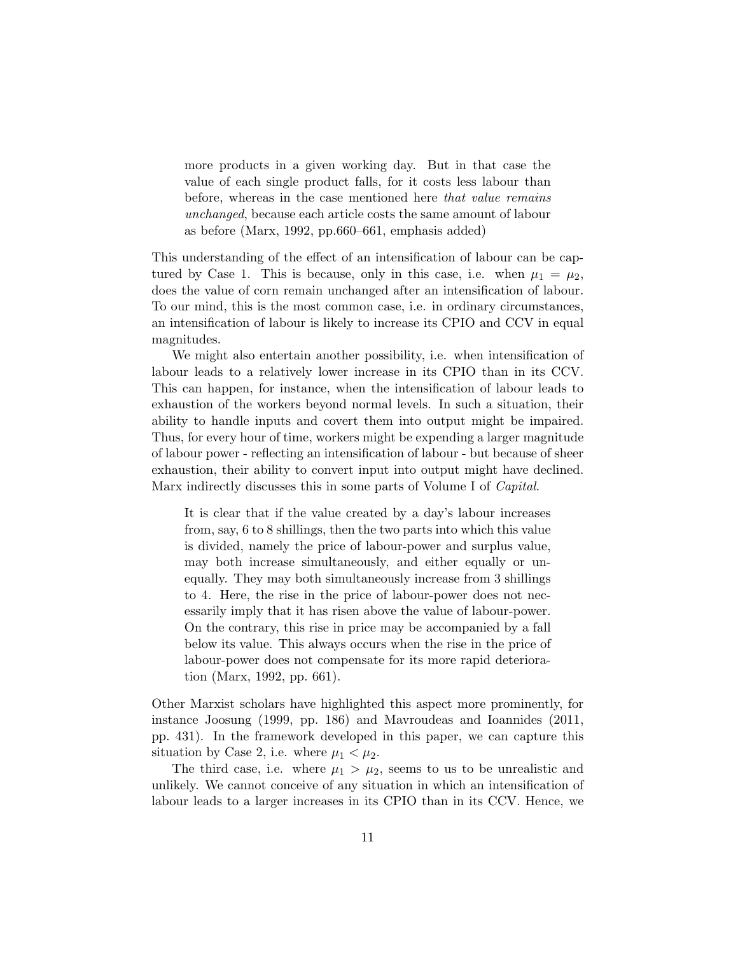more products in a given working day. But in that case the value of each single product falls, for it costs less labour than before, whereas in the case mentioned here that value remains unchanged, because each article costs the same amount of labour as before (Marx, 1992, pp.660–661, emphasis added)

This understanding of the effect of an intensification of labour can be captured by Case 1. This is because, only in this case, i.e. when  $\mu_1 = \mu_2$ , does the value of corn remain unchanged after an intensification of labour. To our mind, this is the most common case, i.e. in ordinary circumstances, an intensification of labour is likely to increase its CPIO and CCV in equal magnitudes.

We might also entertain another possibility, i.e. when intensification of labour leads to a relatively lower increase in its CPIO than in its CCV. This can happen, for instance, when the intensification of labour leads to exhaustion of the workers beyond normal levels. In such a situation, their ability to handle inputs and covert them into output might be impaired. Thus, for every hour of time, workers might be expending a larger magnitude of labour power - reflecting an intensification of labour - but because of sheer exhaustion, their ability to convert input into output might have declined. Marx indirectly discusses this in some parts of Volume I of *Capital*.

It is clear that if the value created by a day's labour increases from, say, 6 to 8 shillings, then the two parts into which this value is divided, namely the price of labour-power and surplus value, may both increase simultaneously, and either equally or unequally. They may both simultaneously increase from 3 shillings to 4. Here, the rise in the price of labour-power does not necessarily imply that it has risen above the value of labour-power. On the contrary, this rise in price may be accompanied by a fall below its value. This always occurs when the rise in the price of labour-power does not compensate for its more rapid deterioration (Marx, 1992, pp. 661).

Other Marxist scholars have highlighted this aspect more prominently, for instance Joosung (1999, pp. 186) and Mavroudeas and Ioannides (2011, pp. 431). In the framework developed in this paper, we can capture this situation by Case 2, i.e. where  $\mu_1 < \mu_2$ .

The third case, i.e. where  $\mu_1 > \mu_2$ , seems to us to be unrealistic and unlikely. We cannot conceive of any situation in which an intensification of labour leads to a larger increases in its CPIO than in its CCV. Hence, we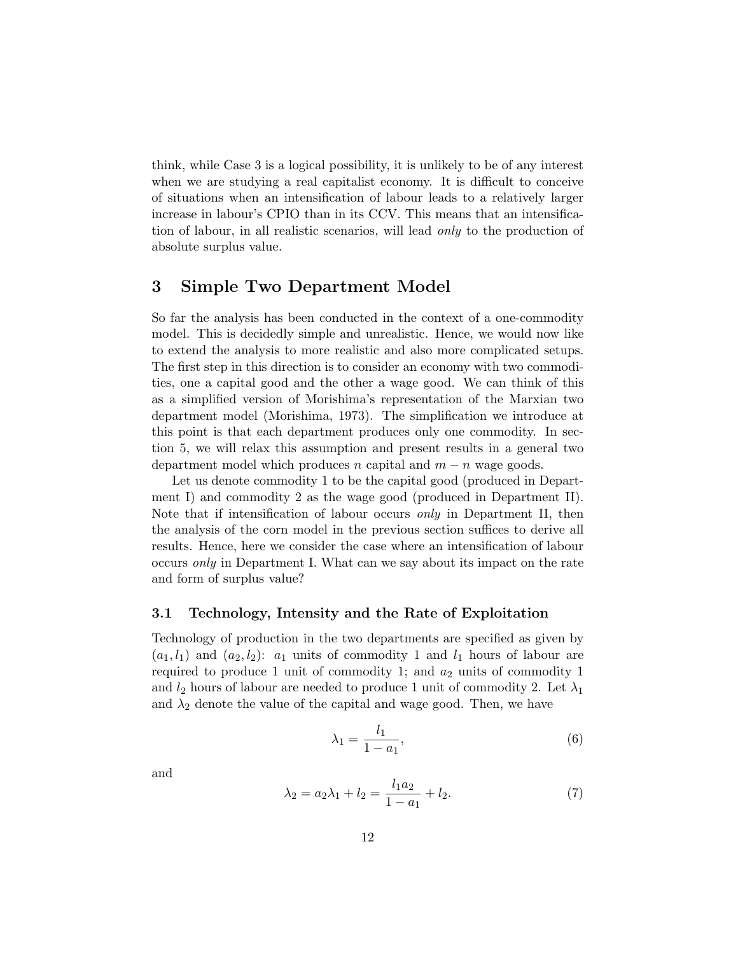think, while Case 3 is a logical possibility, it is unlikely to be of any interest when we are studying a real capitalist economy. It is difficult to conceive of situations when an intensification of labour leads to a relatively larger increase in labour's CPIO than in its CCV. This means that an intensification of labour, in all realistic scenarios, will lead only to the production of absolute surplus value.

# 3 Simple Two Department Model

So far the analysis has been conducted in the context of a one-commodity model. This is decidedly simple and unrealistic. Hence, we would now like to extend the analysis to more realistic and also more complicated setups. The first step in this direction is to consider an economy with two commodities, one a capital good and the other a wage good. We can think of this as a simplified version of Morishima's representation of the Marxian two department model (Morishima, 1973). The simplification we introduce at this point is that each department produces only one commodity. In section 5, we will relax this assumption and present results in a general two department model which produces n capital and  $m - n$  wage goods.

Let us denote commodity 1 to be the capital good (produced in Department I) and commodity 2 as the wage good (produced in Department II). Note that if intensification of labour occurs only in Department II, then the analysis of the corn model in the previous section suffices to derive all results. Hence, here we consider the case where an intensification of labour occurs only in Department I. What can we say about its impact on the rate and form of surplus value?

## 3.1 Technology, Intensity and the Rate of Exploitation

Technology of production in the two departments are specified as given by  $(a_1, l_1)$  and  $(a_2, l_2)$ :  $a_1$  units of commodity 1 and  $l_1$  hours of labour are required to produce 1 unit of commodity 1; and  $a_2$  units of commodity 1 and  $l_2$  hours of labour are needed to produce 1 unit of commodity 2. Let  $\lambda_1$ and  $\lambda_2$  denote the value of the capital and wage good. Then, we have

$$
\lambda_1 = \frac{l_1}{1 - a_1},\tag{6}
$$

and

$$
\lambda_2 = a_2 \lambda_1 + l_2 = \frac{l_1 a_2}{1 - a_1} + l_2. \tag{7}
$$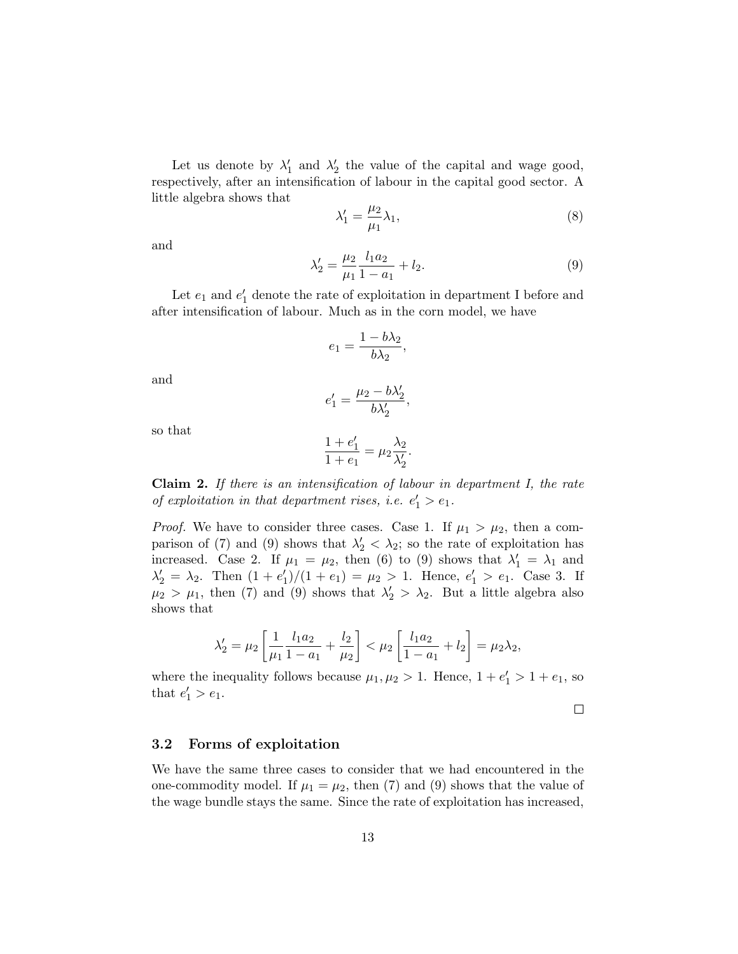Let us denote by  $\lambda'_1$  and  $\lambda'_2$  the value of the capital and wage good, respectively, after an intensification of labour in the capital good sector. A little algebra shows that

$$
\lambda_1' = \frac{\mu_2}{\mu_1} \lambda_1,\tag{8}
$$

and

$$
\lambda_2' = \frac{\mu_2}{\mu_1} \frac{l_1 a_2}{1 - a_1} + l_2.
$$
\n(9)

Let  $e_1$  and  $e'_1$  denote the rate of exploitation in department I before and after intensification of labour. Much as in the corn model, we have

$$
e_1 = \frac{1 - b\lambda_2}{b\lambda_2},
$$

and

$$
e_1'=\frac{\mu_2-b\lambda_2'}{b\lambda_2'},
$$

so that

$$
\frac{1+e'_1}{1+e_1} = \mu_2 \frac{\lambda_2}{\lambda'_2}.
$$

**Claim 2.** If there is an intensification of labour in department  $I$ , the rate of exploitation in that department rises, i.e.  $e'_1 > e_1$ .

*Proof.* We have to consider three cases. Case 1. If  $\mu_1 > \mu_2$ , then a comparison of (7) and (9) shows that  $\lambda'_2 < \lambda_2$ ; so the rate of exploitation has increased. Case 2. If  $\mu_1 = \mu_2$ , then (6) to (9) shows that  $\lambda'_1 = \lambda_1$  and  $\lambda'_2 = \lambda_2$ . Then  $(1 + e'_1)/(1 + e_1) = \mu_2 > 1$ . Hence,  $e'_1 > e_1$ . Case 3. If  $\mu_2 > \mu_1$ , then (7) and (9) shows that  $\lambda'_2 > \lambda_2$ . But a little algebra also shows that

$$
\lambda_2' = \mu_2 \left[ \frac{1}{\mu_1} \frac{l_1 a_2}{1 - a_1} + \frac{l_2}{\mu_2} \right] < \mu_2 \left[ \frac{l_1 a_2}{1 - a_1} + l_2 \right] = \mu_2 \lambda_2,
$$

where the inequality follows because  $\mu_1, \mu_2 > 1$ . Hence,  $1 + e'_1 > 1 + e_1$ , so that  $e'_1 > e_1$ .

 $\Box$ 

#### 3.2 Forms of exploitation

We have the same three cases to consider that we had encountered in the one-commodity model. If  $\mu_1 = \mu_2$ , then (7) and (9) shows that the value of the wage bundle stays the same. Since the rate of exploitation has increased,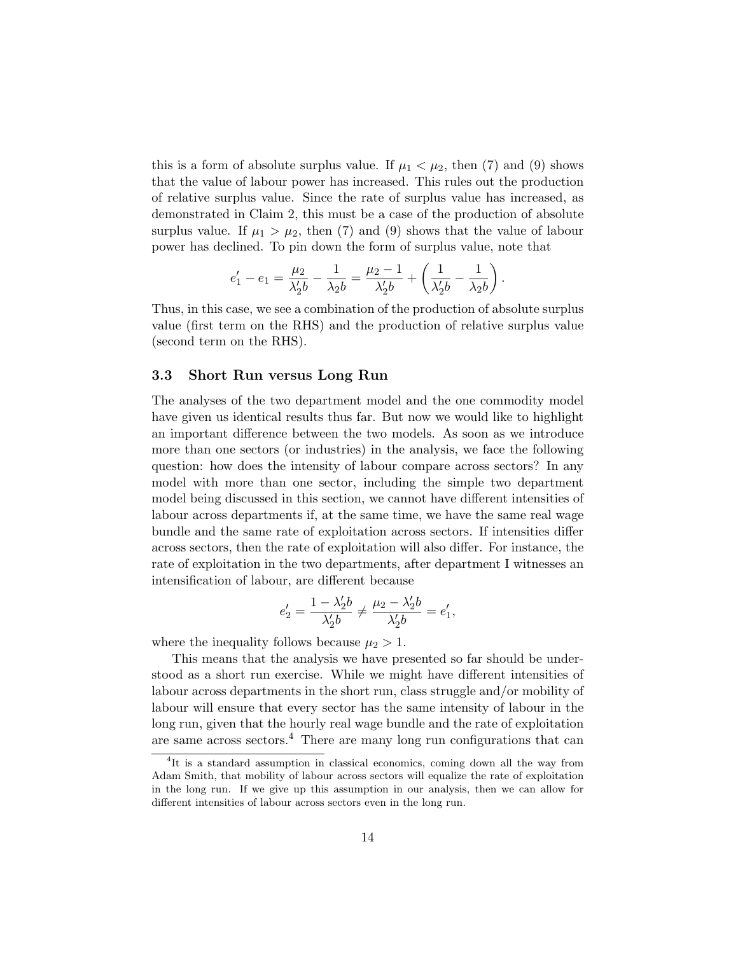this is a form of absolute surplus value. If  $\mu_1 < \mu_2$ , then (7) and (9) shows that the value of labour power has increased. This rules out the production of relative surplus value. Since the rate of surplus value has increased, as demonstrated in Claim 2, this must be a case of the production of absolute surplus value. If  $\mu_1 > \mu_2$ , then (7) and (9) shows that the value of labour power has declined. To pin down the form of surplus value, note that

$$
e'_1 - e_1 = \frac{\mu_2}{\lambda'_2 b} - \frac{1}{\lambda_2 b} = \frac{\mu_2 - 1}{\lambda'_2 b} + \left(\frac{1}{\lambda'_2 b} - \frac{1}{\lambda_2 b}\right).
$$

Thus, in this case, we see a combination of the production of absolute surplus value (first term on the RHS) and the production of relative surplus value (second term on the RHS).

#### 3.3 Short Run versus Long Run

The analyses of the two department model and the one commodity model have given us identical results thus far. But now we would like to highlight an important difference between the two models. As soon as we introduce more than one sectors (or industries) in the analysis, we face the following question: how does the intensity of labour compare across sectors? In any model with more than one sector, including the simple two department model being discussed in this section, we cannot have different intensities of labour across departments if, at the same time, we have the same real wage bundle and the same rate of exploitation across sectors. If intensities differ across sectors, then the rate of exploitation will also differ. For instance, the rate of exploitation in the two departments, after department I witnesses an intensification of labour, are different because

$$
e^{\prime}_2=\frac{1-\lambda^{\prime}_2b}{\lambda^{\prime}_2b}\neq\frac{\mu_2-\lambda^{\prime}_2b}{\lambda^{\prime}_2b}=e^{\prime}_1,
$$

where the inequality follows because  $\mu_2 > 1$ .

This means that the analysis we have presented so far should be understood as a short run exercise. While we might have different intensities of labour across departments in the short run, class struggle and/or mobility of labour will ensure that every sector has the same intensity of labour in the long run, given that the hourly real wage bundle and the rate of exploitation are same across sectors.<sup>4</sup> There are many long run configurations that can

<sup>&</sup>lt;sup>4</sup>It is a standard assumption in classical economics, coming down all the way from Adam Smith, that mobility of labour across sectors will equalize the rate of exploitation in the long run. If we give up this assumption in our analysis, then we can allow for different intensities of labour across sectors even in the long run.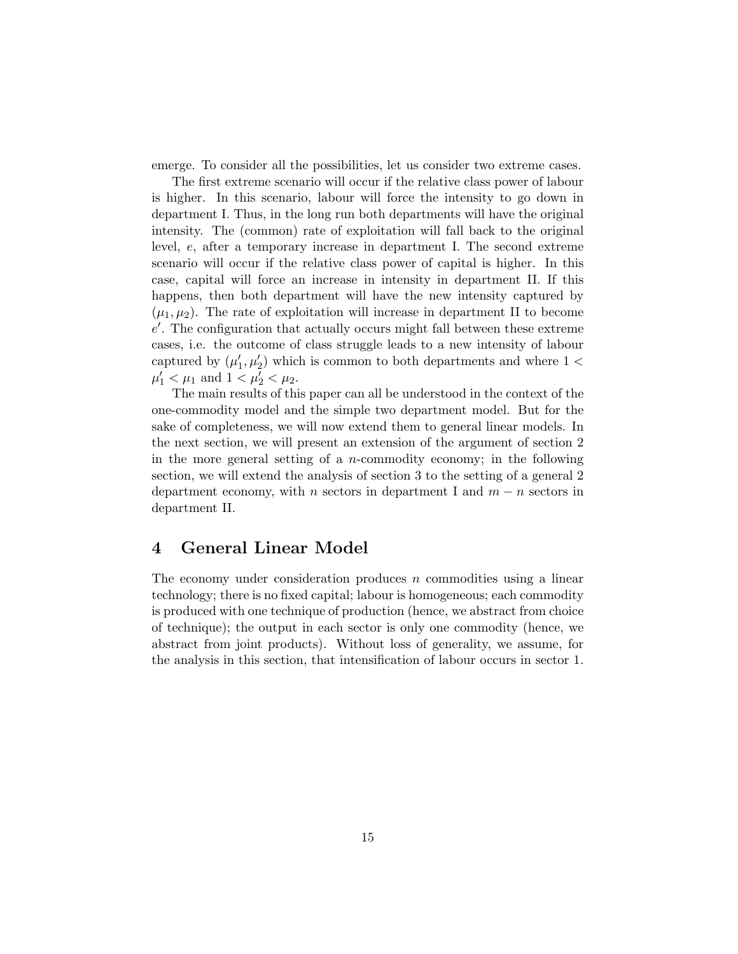emerge. To consider all the possibilities, let us consider two extreme cases.

The first extreme scenario will occur if the relative class power of labour is higher. In this scenario, labour will force the intensity to go down in department I. Thus, in the long run both departments will have the original intensity. The (common) rate of exploitation will fall back to the original level, e, after a temporary increase in department I. The second extreme scenario will occur if the relative class power of capital is higher. In this case, capital will force an increase in intensity in department II. If this happens, then both department will have the new intensity captured by  $(\mu_1, \mu_2)$ . The rate of exploitation will increase in department II to become  $e'$ . The configuration that actually occurs might fall between these extreme cases, i.e. the outcome of class struggle leads to a new intensity of labour captured by  $(\mu'_1, \mu'_2)$  which is common to both departments and where  $1 <$  $\mu'_1 < \mu_1$  and  $1 < \mu'_2 < \mu_2$ .

The main results of this paper can all be understood in the context of the one-commodity model and the simple two department model. But for the sake of completeness, we will now extend them to general linear models. In the next section, we will present an extension of the argument of section 2 in the more general setting of a *n*-commodity economy; in the following section, we will extend the analysis of section 3 to the setting of a general 2 department economy, with n sectors in department I and  $m - n$  sectors in department II.

# 4 General Linear Model

The economy under consideration produces  $n$  commodities using a linear technology; there is no fixed capital; labour is homogeneous; each commodity is produced with one technique of production (hence, we abstract from choice of technique); the output in each sector is only one commodity (hence, we abstract from joint products). Without loss of generality, we assume, for the analysis in this section, that intensification of labour occurs in sector 1.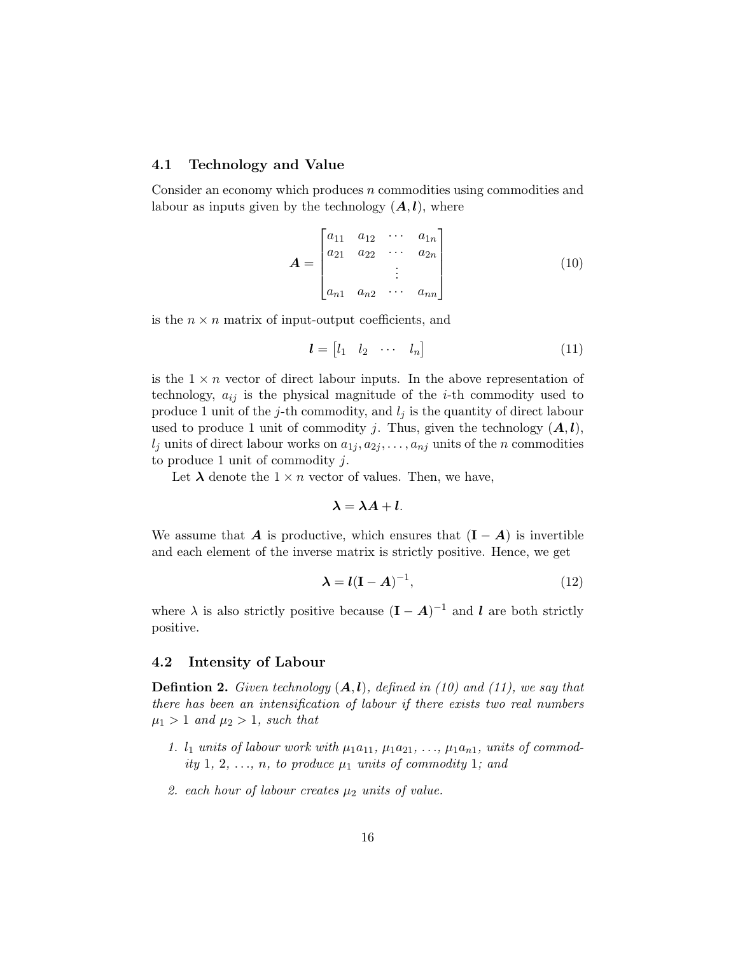#### 4.1 Technology and Value

Consider an economy which produces n commodities using commodities and labour as inputs given by the technology  $(A, l)$ , where

$$
\mathbf{A} = \begin{bmatrix} a_{11} & a_{12} & \cdots & a_{1n} \\ a_{21} & a_{22} & \cdots & a_{2n} \\ \vdots & \vdots & \vdots & \vdots \\ a_{n1} & a_{n2} & \cdots & a_{nn} \end{bmatrix}
$$
 (10)

is the  $n \times n$  matrix of input-output coefficients, and

$$
\boldsymbol{l} = \begin{bmatrix} l_1 & l_2 & \cdots & l_n \end{bmatrix} \tag{11}
$$

is the  $1 \times n$  vector of direct labour inputs. In the above representation of technology,  $a_{ij}$  is the physical magnitude of the *i*-th commodity used to produce 1 unit of the j-th commodity, and  $l_j$  is the quantity of direct labour used to produce 1 unit of commodity j. Thus, given the technology  $(A, l)$ ,  $l_i$  units of direct labour works on  $a_{1i}, a_{2i}, \ldots, a_{ni}$  units of the n commodities to produce 1 unit of commodity  $j$ .

Let  $\lambda$  denote the  $1 \times n$  vector of values. Then, we have,

$$
\lambda = \lambda A + l.
$$

We assume that **A** is productive, which ensures that  $(I - A)$  is invertible and each element of the inverse matrix is strictly positive. Hence, we get

$$
\lambda = l(\mathbf{I} - \mathbf{A})^{-1},\tag{12}
$$

where  $\lambda$  is also strictly positive because  $(I - A)^{-1}$  and l are both strictly positive.

## 4.2 Intensity of Labour

**Defintion 2.** Given technology  $(A, l)$ , defined in (10) and (11), we say that there has been an intensification of labour if there exists two real numbers  $\mu_1 > 1$  and  $\mu_2 > 1$ , such that

- 1.  $l_1$  units of labour work with  $\mu_1a_{11}$ ,  $\mu_1a_{21}$ , ...,  $\mu_1a_{n1}$ , units of commodity 1, 2, ..., n, to produce  $\mu_1$  units of commodity 1; and
- 2. each hour of labour creates  $\mu_2$  units of value.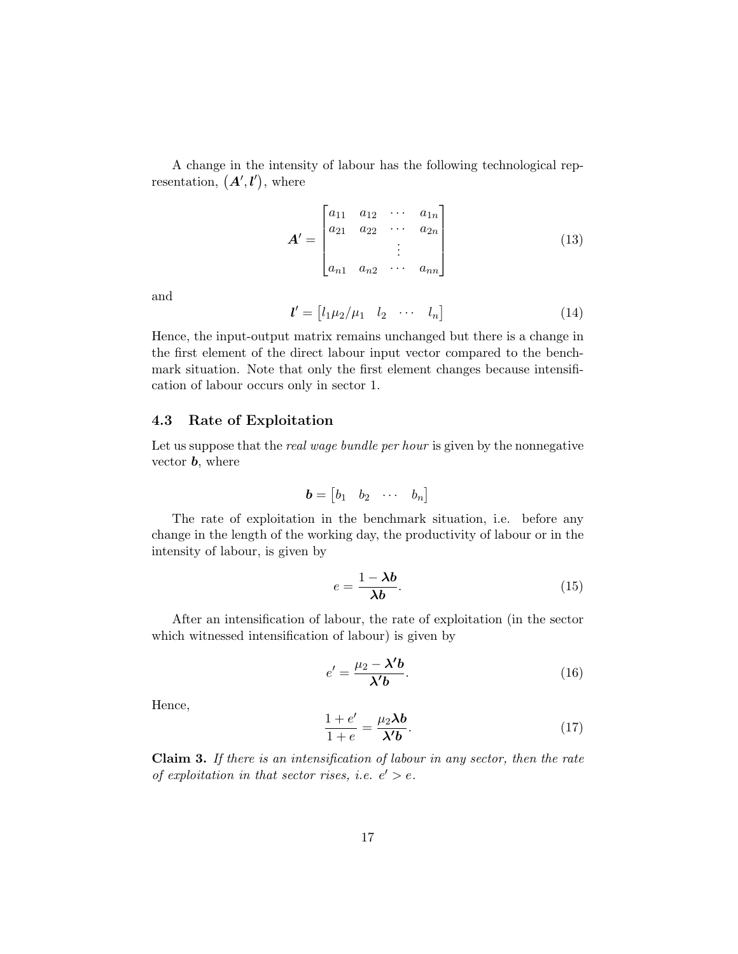A change in the intensity of labour has the following technological representation,  $(A', l')$ , where

$$
\mathbf{A}' = \begin{bmatrix} a_{11} & a_{12} & \cdots & a_{1n} \\ a_{21} & a_{22} & \cdots & a_{2n} \\ \vdots & \vdots & \vdots \\ a_{n1} & a_{n2} & \cdots & a_{nn} \end{bmatrix}
$$
 (13)

and

$$
\mathbf{l}' = \begin{bmatrix} l_1 \mu_2 / \mu_1 & l_2 & \cdots & l_n \end{bmatrix} \tag{14}
$$

Hence, the input-output matrix remains unchanged but there is a change in the first element of the direct labour input vector compared to the benchmark situation. Note that only the first element changes because intensification of labour occurs only in sector 1.

### 4.3 Rate of Exploitation

Let us suppose that the *real wage bundle per hour* is given by the nonnegative vector **, where** 

$$
\boldsymbol{b} = \begin{bmatrix} b_1 & b_2 & \cdots & b_n \end{bmatrix}
$$

The rate of exploitation in the benchmark situation, i.e. before any change in the length of the working day, the productivity of labour or in the intensity of labour, is given by

$$
e = \frac{1 - \lambda b}{\lambda b}.\tag{15}
$$

After an intensification of labour, the rate of exploitation (in the sector which witnessed intensification of labour) is given by

$$
e' = \frac{\mu_2 - \lambda' b}{\lambda' b}.
$$
 (16)

Hence,

$$
\frac{1+e'}{1+e} = \frac{\mu_2 \lambda b}{\lambda' b}.
$$
 (17)

Claim 3. If there is an intensification of labour in any sector, then the rate of exploitation in that sector rises, i.e.  $e' > e$ .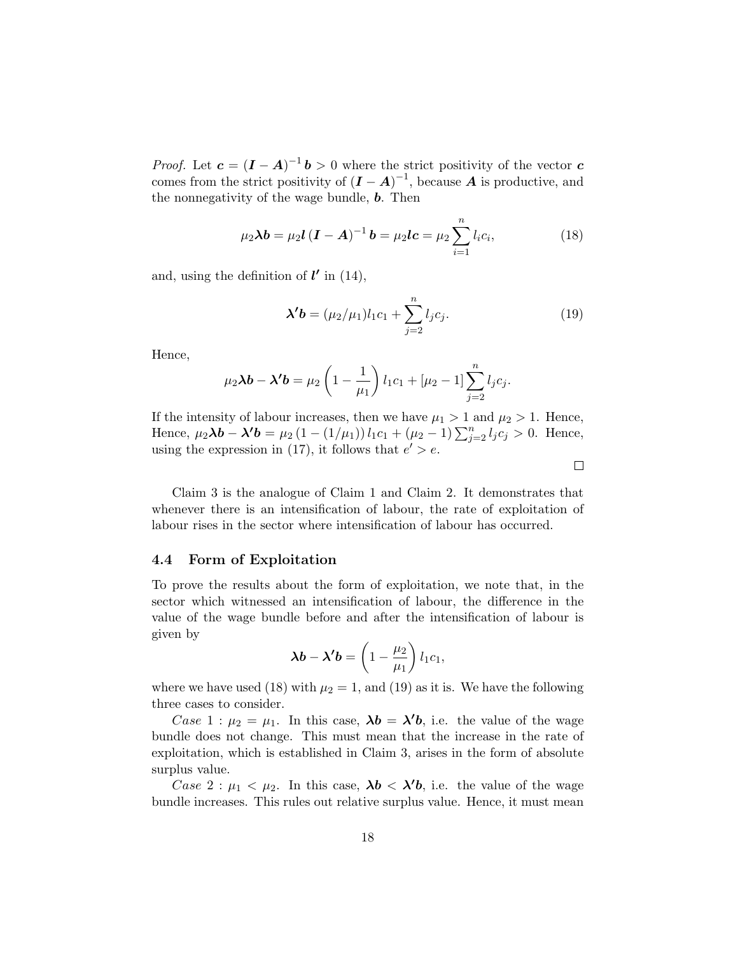*Proof.* Let  $c = (I - A)^{-1}b > 0$  where the strict positivity of the vector c comes from the strict positivity of  $(I - A)^{-1}$ , because A is productive, and the nonnegativity of the wage bundle, **. Then** 

$$
\mu_2 \lambda b = \mu_2 l (I - A)^{-1} b = \mu_2 l c = \mu_2 \sum_{i=1}^n l_i c_i,
$$
 (18)

and, using the definition of  $l'$  in (14),

$$
\lambda' b = (\mu_2/\mu_1) l_1 c_1 + \sum_{j=2}^n l_j c_j.
$$
 (19)

 $\Box$ 

Hence,

$$
\mu_2 \lambda b - \lambda' b = \mu_2 \left( 1 - \frac{1}{\mu_1} \right) l_1 c_1 + [\mu_2 - 1] \sum_{j=2}^n l_j c_j.
$$

If the intensity of labour increases, then we have  $\mu_1 > 1$  and  $\mu_2 > 1$ . Hence, Hence,  $\mu_2 \lambda \mathbf{b} - \lambda' \mathbf{b} = \mu_2 (1 - (1/\mu_1)) l_1 c_1 + (\mu_2 - 1) \sum_{j=2}^n l_j c_j > 0$ . Hence, using the expression in (17), it follows that  $e' > e$ .

Claim 3 is the analogue of Claim 1 and Claim 2. It demonstrates that whenever there is an intensification of labour, the rate of exploitation of labour rises in the sector where intensification of labour has occurred.

#### 4.4 Form of Exploitation

To prove the results about the form of exploitation, we note that, in the sector which witnessed an intensification of labour, the difference in the value of the wage bundle before and after the intensification of labour is given by

$$
\boldsymbol{\lambda} \boldsymbol{b} - \boldsymbol{\lambda}' \boldsymbol{b} = \left(1 - \frac{\mu_2}{\mu_1}\right) l_1 c_1,
$$

where we have used (18) with  $\mu_2 = 1$ , and (19) as it is. We have the following three cases to consider.

Case 1 :  $\mu_2 = \mu_1$ . In this case,  $\lambda b = \lambda' b$ , i.e. the value of the wage bundle does not change. This must mean that the increase in the rate of exploitation, which is established in Claim 3, arises in the form of absolute surplus value.

Case 2:  $\mu_1 < \mu_2$ . In this case,  $\lambda b < \lambda' b$ , i.e. the value of the wage bundle increases. This rules out relative surplus value. Hence, it must mean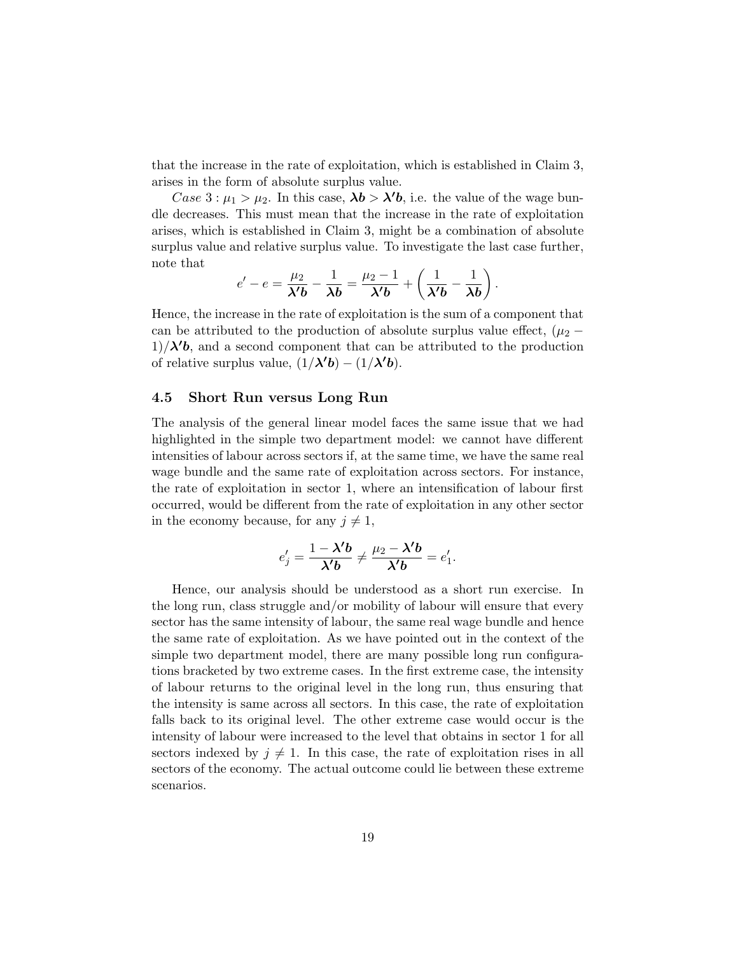that the increase in the rate of exploitation, which is established in Claim 3, arises in the form of absolute surplus value.

Case  $3: \mu_1 > \mu_2$ . In this case,  $\lambda b > \lambda' b$ , i.e. the value of the wage bundle decreases. This must mean that the increase in the rate of exploitation arises, which is established in Claim 3, might be a combination of absolute surplus value and relative surplus value. To investigate the last case further, note that

$$
e'-e=\frac{\mu_2}{\lambda'b}-\frac{1}{\lambda b}=\frac{\mu_2-1}{\lambda'b}+\left(\frac{1}{\lambda'b}-\frac{1}{\lambda b}\right).
$$

Hence, the increase in the rate of exploitation is the sum of a component that can be attributed to the production of absolute surplus value effect,  $(\mu_2 1/\lambda' b$ , and a second component that can be attributed to the production of relative surplus value,  $(1/\lambda' b) - (1/\lambda' b)$ .

## 4.5 Short Run versus Long Run

The analysis of the general linear model faces the same issue that we had highlighted in the simple two department model: we cannot have different intensities of labour across sectors if, at the same time, we have the same real wage bundle and the same rate of exploitation across sectors. For instance, the rate of exploitation in sector 1, where an intensification of labour first occurred, would be different from the rate of exploitation in any other sector in the economy because, for any  $j \neq 1$ ,

$$
e'_{j} = \frac{1 - \lambda' b}{\lambda' b} \neq \frac{\mu_2 - \lambda' b}{\lambda' b} = e'_{1}.
$$

Hence, our analysis should be understood as a short run exercise. In the long run, class struggle and/or mobility of labour will ensure that every sector has the same intensity of labour, the same real wage bundle and hence the same rate of exploitation. As we have pointed out in the context of the simple two department model, there are many possible long run configurations bracketed by two extreme cases. In the first extreme case, the intensity of labour returns to the original level in the long run, thus ensuring that the intensity is same across all sectors. In this case, the rate of exploitation falls back to its original level. The other extreme case would occur is the intensity of labour were increased to the level that obtains in sector 1 for all sectors indexed by  $j \neq 1$ . In this case, the rate of exploitation rises in all sectors of the economy. The actual outcome could lie between these extreme scenarios.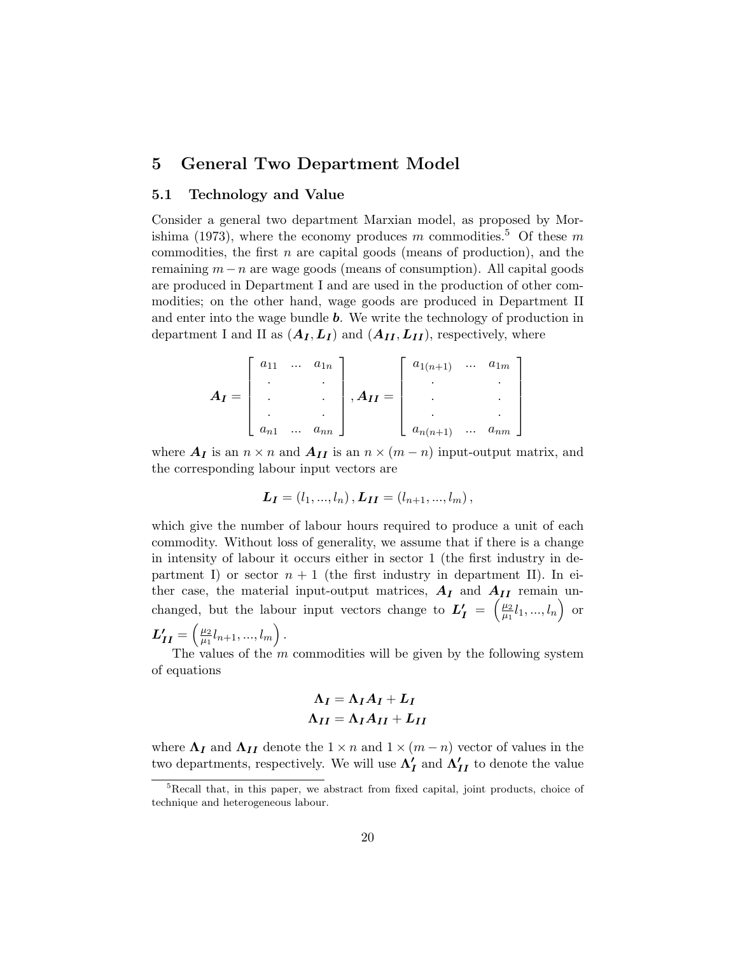# 5 General Two Department Model

## 5.1 Technology and Value

Consider a general two department Marxian model, as proposed by Morishima (1973), where the economy produces m commodities.<sup>5</sup> Of these m commodities, the first  $n$  are capital goods (means of production), and the remaining  $m - n$  are wage goods (means of consumption). All capital goods are produced in Department I and are used in the production of other commodities; on the other hand, wage goods are produced in Department II and enter into the wage bundle **. We write the technology of production in** department I and II as  $(A_I, L_I)$  and  $(A_{II}, L_{II})$ , respectively, where

$$
A_{I} = \begin{bmatrix} a_{11} & \dots & a_{1n} \\ \vdots & & \vdots \\ \vdots & & \vdots \\ a_{n1} & \dots & a_{nn} \end{bmatrix}, A_{II} = \begin{bmatrix} a_{1(n+1)} & \dots & a_{1m} \\ \vdots & & \vdots \\ \vdots & & \vdots \\ a_{n(n+1)} & \dots & a_{nm} \end{bmatrix}
$$

where  $A_I$  is an  $n \times n$  and  $A_{II}$  is an  $n \times (m - n)$  input-output matrix, and the corresponding labour input vectors are

$$
L_I = (l_1, ..., l_n), L_{II} = (l_{n+1}, ..., l_m),
$$

which give the number of labour hours required to produce a unit of each commodity. Without loss of generality, we assume that if there is a change in intensity of labour it occurs either in sector 1 (the first industry in department I) or sector  $n + 1$  (the first industry in department II). In either case, the material input-output matrices,  $A_I$  and  $A_{II}$  remain unchanged, but the labour input vectors change to  $L'_I = \left(\frac{\mu_2}{\mu_1}\right)^2$  $\frac{\mu_2}{\mu_1}l_1,...,l_n\Big)$  or

$$
L'_{II} = \left(\begin{matrix} \frac{\mu_2}{\mu_1} l_{n+1}, \dots, l_m \end{matrix}\right).
$$

The values of the  $m$  commodities will be given by the following system of equations

$$
\Lambda_I = \Lambda_I A_I + L_I
$$

$$
\Lambda_{II} = \Lambda_I A_{II} + L_{II}
$$

where  $\Lambda_I$  and  $\Lambda_{II}$  denote the  $1 \times n$  and  $1 \times (m - n)$  vector of values in the two departments, respectively. We will use  $\Lambda_I'$  and  $\Lambda_{II}'$  to denote the value

<sup>5</sup>Recall that, in this paper, we abstract from fixed capital, joint products, choice of technique and heterogeneous labour.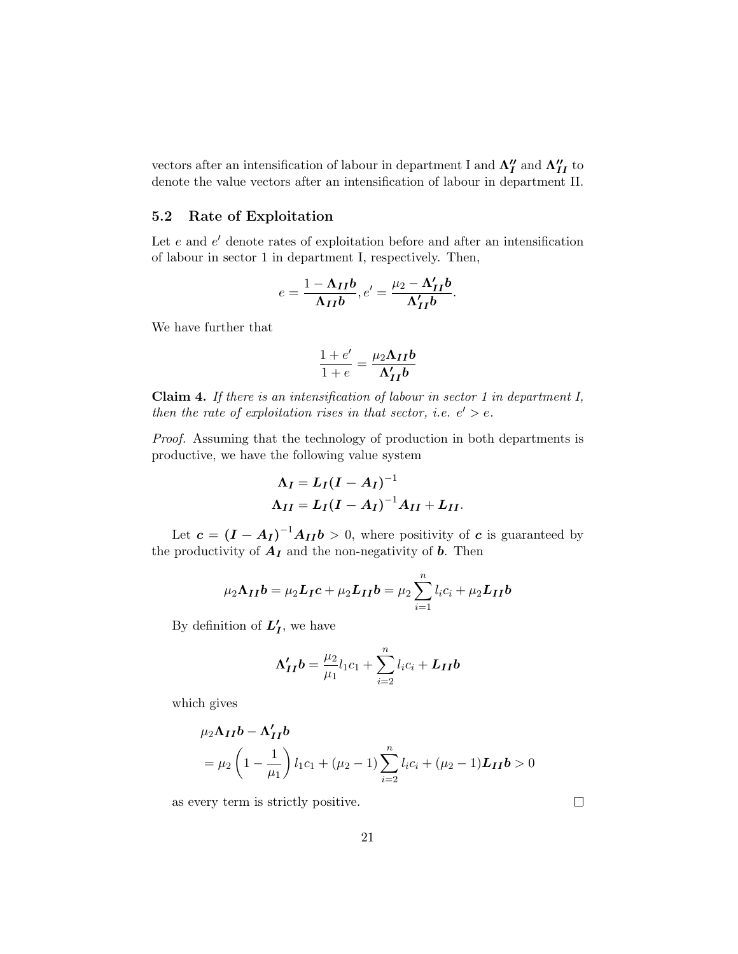vectors after an intensification of labour in department I and  $\Lambda_I''$  and  $\Lambda_{II}''$  to denote the value vectors after an intensification of labour in department II.

#### 5.2 Rate of Exploitation

Let  $e$  and  $e'$  denote rates of exploitation before and after an intensification of labour in sector 1 in department I, respectively. Then,

$$
e = \frac{1 - \Lambda_{II}b}{\Lambda_{II}b}, e' = \frac{\mu_2 - \Lambda'_{II}b}{\Lambda'_{II}b}.
$$

We have further that

$$
\frac{1+e'}{1+e} = \frac{\mu_2 \Lambda_{II} b}{\Lambda'_{II} b}
$$

Claim 4. If there is an intensification of labour in sector 1 in department I, then the rate of exploitation rises in that sector, i.e.  $e' > e$ .

Proof. Assuming that the technology of production in both departments is productive, we have the following value system

$$
\Lambda_I = L_I (I - A_I)^{-1}
$$
  

$$
\Lambda_{II} = L_I (I - A_I)^{-1} A_{II} + L_{II}.
$$

Let  $c = (I - A_I)^{-1}A_{II}b > 0$ , where positivity of c is guaranteed by the productivity of  $A_I$  and the non-negativity of  $b$ . Then

$$
\mu_2 \Lambda_{II} \boldsymbol{b} = \mu_2 \boldsymbol{L}_I \boldsymbol{c} + \mu_2 \boldsymbol{L}_{II} \boldsymbol{b} = \mu_2 \sum_{i=1}^n l_i c_i + \mu_2 \boldsymbol{L}_{II} \boldsymbol{b}
$$

By definition of  $L_I'$ , we have

$$
\Lambda'_{II}b = \frac{\mu_2}{\mu_1}l_1c_1 + \sum_{i=2}^n l_ic_i + L_{II}b
$$

which gives

$$
\mu_2 \Lambda_{II} b - \Lambda'_{II} b
$$
  
=  $\mu_2 \left( 1 - \frac{1}{\mu_1} \right) l_1 c_1 + (\mu_2 - 1) \sum_{i=2}^n l_i c_i + (\mu_2 - 1) L_{II} b > 0$ 

as every term is strictly positive.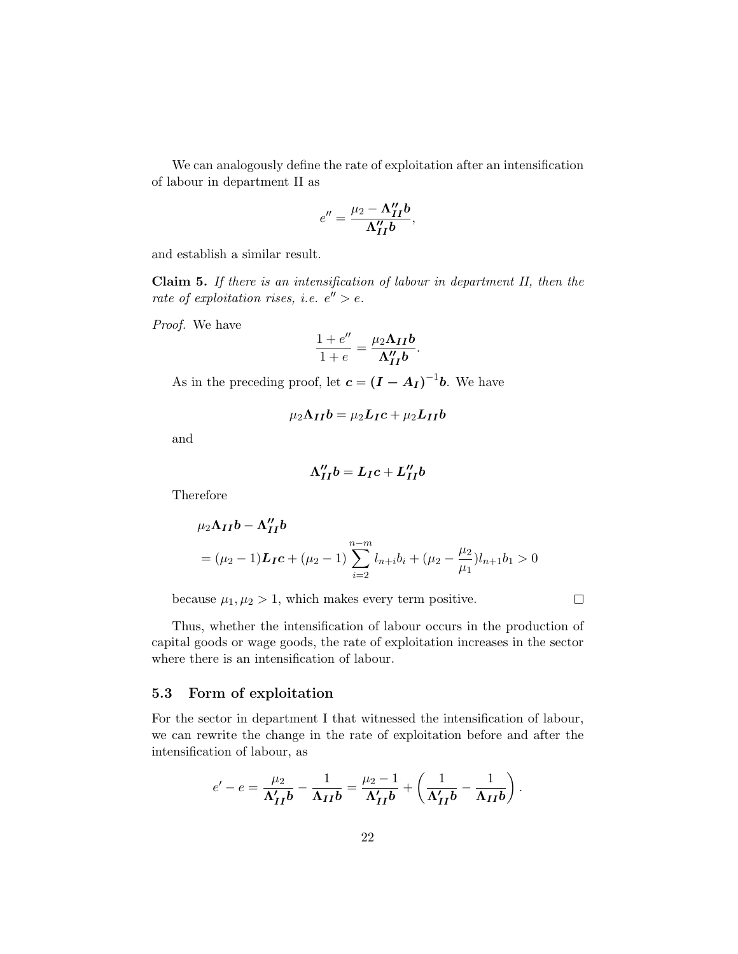We can analogously define the rate of exploitation after an intensification of labour in department II as

$$
e'' = \frac{\mu_2 - \Lambda''_{II}b}{\Lambda''_{II}b},
$$

and establish a similar result.

Claim 5. If there is an intensification of labour in department II, then the rate of exploitation rises, i.e.  $e'' > e$ .

Proof. We have

$$
\frac{1+e''}{1+e} = \frac{\mu_2 \Lambda_{II} b}{\Lambda_{II}'' b}.
$$

As in the preceding proof, let  $c = (I - A_I)^{-1}b$ . We have

$$
\mu_2 \Lambda_{II} b = \mu_2 L_{I} c + \mu_2 L_{II} b
$$

and

$$
\Lambda_{II}^{\prime\prime}b=L_{I}c+L_{II}^{\prime\prime}b
$$

Therefore

$$
\mu_2 \Lambda_{II} b - \Lambda_{II}'' b
$$
  
=  $(\mu_2 - 1) L_{IC} + (\mu_2 - 1) \sum_{i=2}^{n-m} l_{n+i} b_i + (\mu_2 - \frac{\mu_2}{\mu_1}) l_{n+1} b_1 > 0$ 

because  $\mu_1, \mu_2 > 1$ , which makes every term positive.

 $\Box$ 

Thus, whether the intensification of labour occurs in the production of capital goods or wage goods, the rate of exploitation increases in the sector where there is an intensification of labour.

#### 5.3 Form of exploitation

For the sector in department I that witnessed the intensification of labour, we can rewrite the change in the rate of exploitation before and after the intensification of labour, as

$$
e' - e = \frac{\mu_2}{\Lambda'_{II}b} - \frac{1}{\Lambda_{II}b} = \frac{\mu_2 - 1}{\Lambda'_{II}b} + \left(\frac{1}{\Lambda'_{II}b} - \frac{1}{\Lambda_{II}b}\right).
$$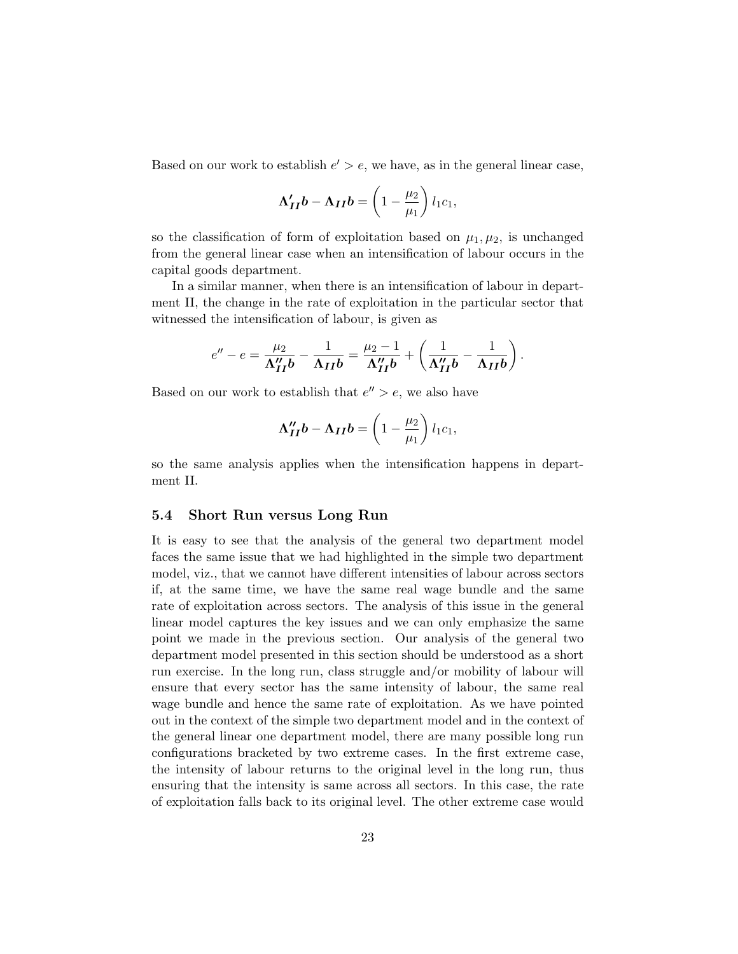Based on our work to establish  $e' > e$ , we have, as in the general linear case,

$$
\Lambda'_{II}b - \Lambda_{II}b = \left(1 - \frac{\mu_2}{\mu_1}\right)l_1c_1,
$$

so the classification of form of exploitation based on  $\mu_1, \mu_2$ , is unchanged from the general linear case when an intensification of labour occurs in the capital goods department.

In a similar manner, when there is an intensification of labour in department II, the change in the rate of exploitation in the particular sector that witnessed the intensification of labour, is given as

$$
e''-e=\frac{\mu_2}{\Lambda''_{II}b}-\frac{1}{\Lambda_{II}b}=\frac{\mu_2-1}{\Lambda''_{II}b}+\left(\frac{1}{\Lambda''_{II}b}-\frac{1}{\Lambda_{II}b}\right).
$$

Based on our work to establish that  $e'' > e$ , we also have

$$
\Lambda_{II}^{\prime\prime}b - \Lambda_{II}b = \left(1 - \frac{\mu_2}{\mu_1}\right)l_1c_1,
$$

so the same analysis applies when the intensification happens in department II.

#### 5.4 Short Run versus Long Run

It is easy to see that the analysis of the general two department model faces the same issue that we had highlighted in the simple two department model, viz., that we cannot have different intensities of labour across sectors if, at the same time, we have the same real wage bundle and the same rate of exploitation across sectors. The analysis of this issue in the general linear model captures the key issues and we can only emphasize the same point we made in the previous section. Our analysis of the general two department model presented in this section should be understood as a short run exercise. In the long run, class struggle and/or mobility of labour will ensure that every sector has the same intensity of labour, the same real wage bundle and hence the same rate of exploitation. As we have pointed out in the context of the simple two department model and in the context of the general linear one department model, there are many possible long run configurations bracketed by two extreme cases. In the first extreme case, the intensity of labour returns to the original level in the long run, thus ensuring that the intensity is same across all sectors. In this case, the rate of exploitation falls back to its original level. The other extreme case would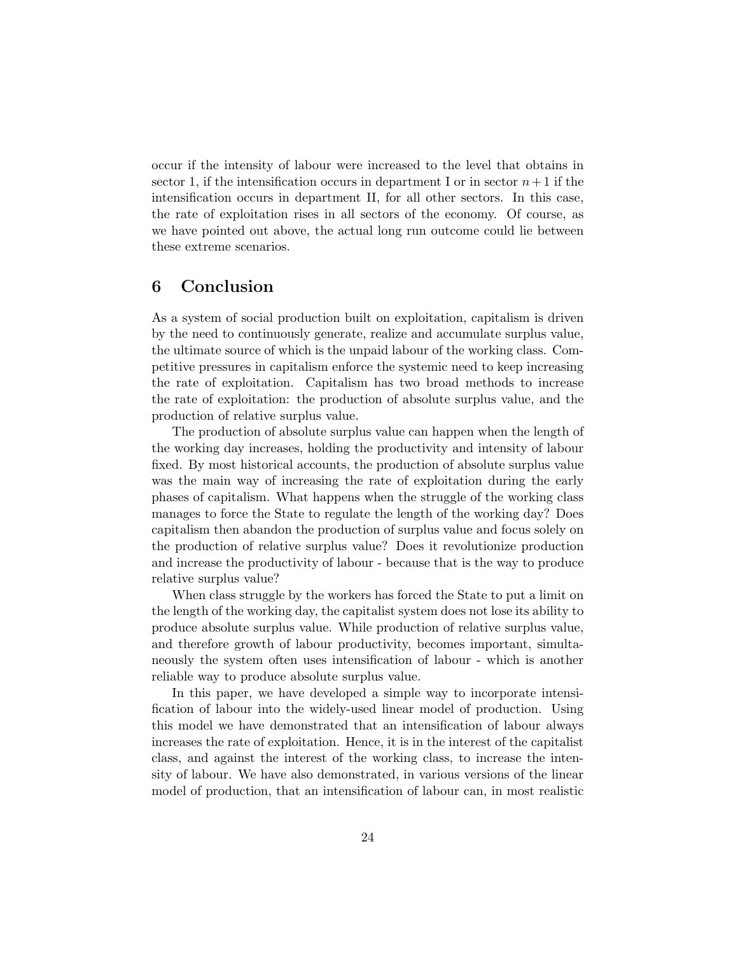occur if the intensity of labour were increased to the level that obtains in sector 1, if the intensification occurs in department I or in sector  $n+1$  if the intensification occurs in department II, for all other sectors. In this case, the rate of exploitation rises in all sectors of the economy. Of course, as we have pointed out above, the actual long run outcome could lie between these extreme scenarios.

# 6 Conclusion

As a system of social production built on exploitation, capitalism is driven by the need to continuously generate, realize and accumulate surplus value, the ultimate source of which is the unpaid labour of the working class. Competitive pressures in capitalism enforce the systemic need to keep increasing the rate of exploitation. Capitalism has two broad methods to increase the rate of exploitation: the production of absolute surplus value, and the production of relative surplus value.

The production of absolute surplus value can happen when the length of the working day increases, holding the productivity and intensity of labour fixed. By most historical accounts, the production of absolute surplus value was the main way of increasing the rate of exploitation during the early phases of capitalism. What happens when the struggle of the working class manages to force the State to regulate the length of the working day? Does capitalism then abandon the production of surplus value and focus solely on the production of relative surplus value? Does it revolutionize production and increase the productivity of labour - because that is the way to produce relative surplus value?

When class struggle by the workers has forced the State to put a limit on the length of the working day, the capitalist system does not lose its ability to produce absolute surplus value. While production of relative surplus value, and therefore growth of labour productivity, becomes important, simultaneously the system often uses intensification of labour - which is another reliable way to produce absolute surplus value.

In this paper, we have developed a simple way to incorporate intensification of labour into the widely-used linear model of production. Using this model we have demonstrated that an intensification of labour always increases the rate of exploitation. Hence, it is in the interest of the capitalist class, and against the interest of the working class, to increase the intensity of labour. We have also demonstrated, in various versions of the linear model of production, that an intensification of labour can, in most realistic